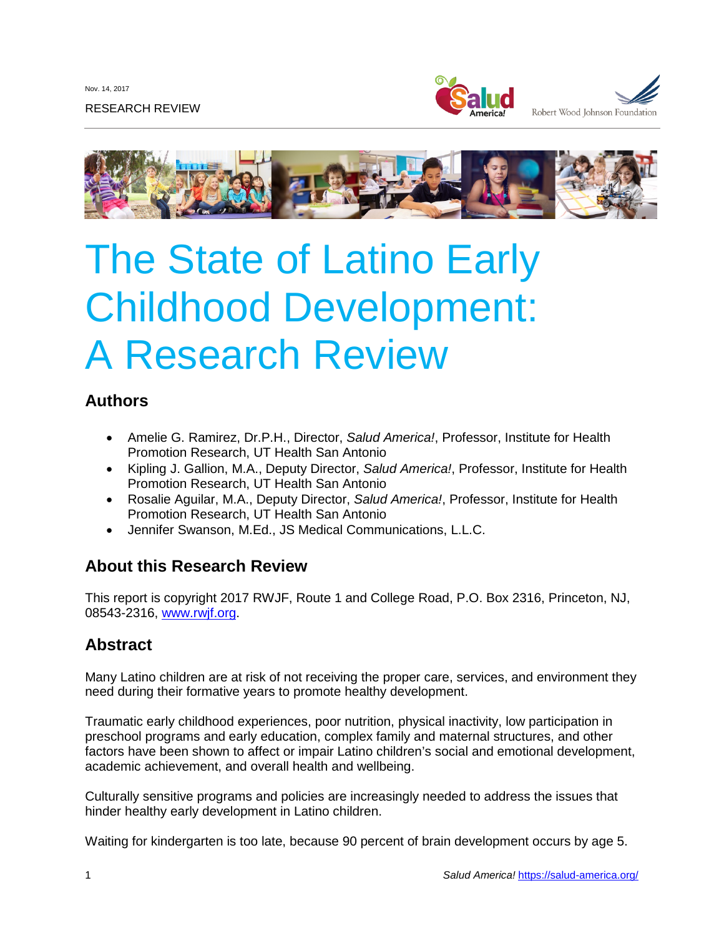Nov. 14, 2017

RESEARCH REVIEW





# The State of Latino Early Childhood Development: A Research Review

# **Authors**

- Amelie G. Ramirez, Dr.P.H., Director, *Salud America!*, Professor, Institute for Health Promotion Research, UT Health San Antonio
- Kipling J. Gallion, M.A., Deputy Director, *Salud America!*, Professor, Institute for Health Promotion Research, UT Health San Antonio
- Rosalie Aguilar, M.A., Deputy Director, *Salud America!*, Professor, Institute for Health Promotion Research, UT Health San Antonio
- Jennifer Swanson, M.Ed., JS Medical Communications, L.L.C.

# **About this Research Review**

This report is copyright 2017 RWJF, Route 1 and College Road, P.O. Box 2316, Princeton, NJ, 08543-2316, [www.rwjf.org.](http://www.rwjf.org/)

# **Abstract**

Many Latino children are at risk of not receiving the proper care, services, and environment they need during their formative years to promote healthy development.

Traumatic early childhood experiences, poor nutrition, physical inactivity, low participation in preschool programs and early education, complex family and maternal structures, and other factors have been shown to affect or impair Latino children's social and emotional development, academic achievement, and overall health and wellbeing.

Culturally sensitive programs and policies are increasingly needed to address the issues that hinder healthy early development in Latino children.

Waiting for kindergarten is too late, because 90 percent of brain development occurs by age 5.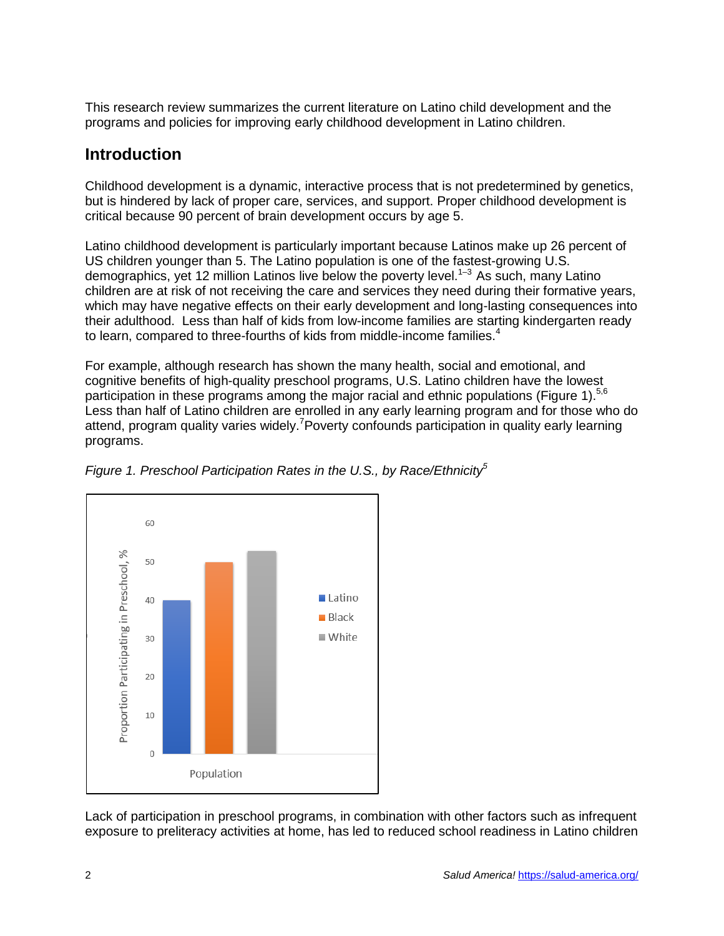This research review summarizes the current literature on Latino child development and the programs and policies for improving early childhood development in Latino children.

# **Introduction**

Childhood development is a dynamic, interactive process that is not predetermined by genetics, but is hindered by lack of proper care, services, and support. Proper childhood development is critical because 90 percent of brain development occurs by age 5.

Latino childhood development is particularly important because Latinos make up 26 percent of US children younger than 5. The Latino population is one of the fastest-growing U.S. demographics, yet 12 million Latinos live below the poverty level.<sup>1–3</sup> As such, many Latino children are at risk of not receiving the care and services they need during their formative years, which may have negative effects on their early development and long-lasting consequences into their adulthood. Less than half of kids from low-income families are starting kindergarten ready to learn, compared to three-fourths of kids from middle-income families.<sup>4</sup>

For example, although research has shown the many health, social and emotional, and cognitive benefits of high-quality preschool programs, U.S. Latino children have the lowest participation in these programs among the major racial and ethnic populations (Figure 1).<sup>5,6</sup> Less than half of Latino children are enrolled in any early learning program and for those who do attend, program quality varies widely.<sup>7</sup> Poverty confounds participation in quality early learning programs.



*Figure* 1. Preschool Participation Rates in the U.S., by Race/Ethnicity<sup>5</sup>

Lack of participation in preschool programs, in combination with other factors such as infrequent exposure to preliteracy activities at home, has led to reduced school readiness in Latino children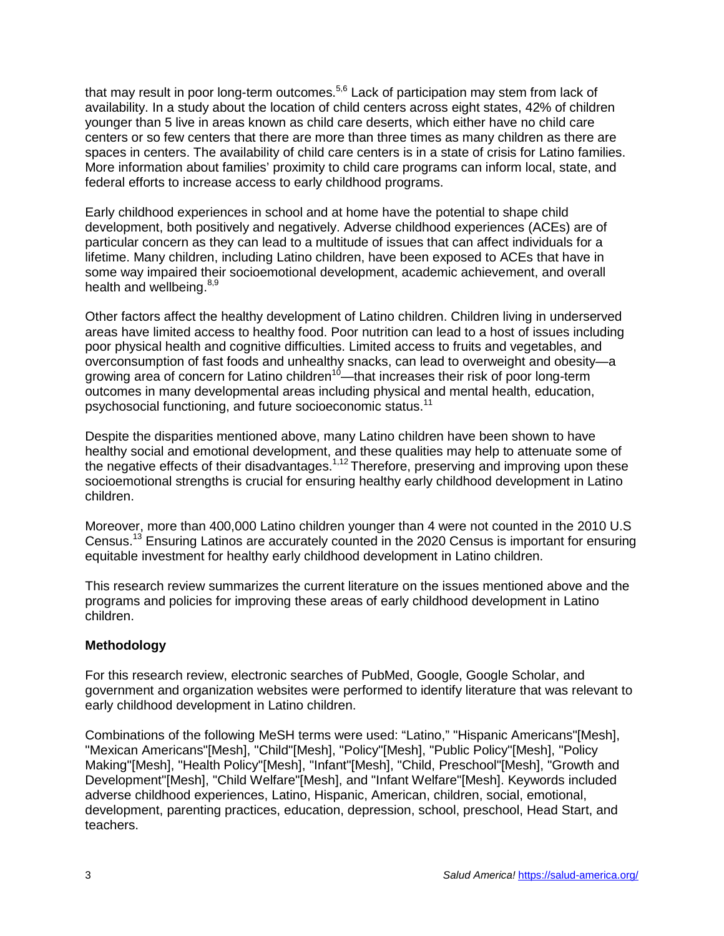that may result in poor long-term outcomes.<sup>5,6</sup> Lack of participation may stem from lack of availability. In a study about the location of child centers across eight states, 42% of children younger than 5 live in areas known as child care deserts, which either have no child care centers or so few centers that there are more than three times as many children as there are spaces in centers. The availability of child care centers is in a state of crisis for Latino families. More information about families' proximity to child care programs can inform local, state, and federal efforts to increase access to early childhood programs.

Early childhood experiences in school and at home have the potential to shape child development, both positively and negatively. Adverse childhood experiences (ACEs) are of particular concern as they can lead to a multitude of issues that can affect individuals for a lifetime. Many children, including Latino children, have been exposed to ACEs that have in some way impaired their socioemotional development, academic achievement, and overall health and wellbeing.<sup>8,9</sup>

Other factors affect the healthy development of Latino children. Children living in underserved areas have limited access to healthy food. Poor nutrition can lead to a host of issues including poor physical health and cognitive difficulties. Limited access to fruits and vegetables, and overconsumption of fast foods and unhealthy snacks, can lead to overweight and obesity—a growing area of concern for Latino children<sup>10</sup>—that increases their risk of poor long-term outcomes in many developmental areas including physical and mental health, education, psychosocial functioning, and future socioeconomic status.<sup>11</sup>

Despite the disparities mentioned above, many Latino children have been shown to have healthy social and emotional development, and these qualities may help to attenuate some of the negative effects of their disadvantages.<sup>1,12</sup> Therefore, preserving and improving upon these socioemotional strengths is crucial for ensuring healthy early childhood development in Latino children.

Moreover, more than 400,000 Latino children younger than 4 were not counted in the 2010 U.S Census.<sup>13</sup> Ensuring Latinos are accurately counted in the 2020 Census is important for ensuring equitable investment for healthy early childhood development in Latino children.

This research review summarizes the current literature on the issues mentioned above and the programs and policies for improving these areas of early childhood development in Latino children.

#### **Methodology**

For this research review, electronic searches of PubMed, Google, Google Scholar, and government and organization websites were performed to identify literature that was relevant to early childhood development in Latino children.

Combinations of the following MeSH terms were used: "Latino," "Hispanic Americans"[Mesh], "Mexican Americans"[Mesh], "Child"[Mesh], "Policy"[Mesh], "Public Policy"[Mesh], "Policy Making"[Mesh], "Health Policy"[Mesh], "Infant"[Mesh], "Child, Preschool"[Mesh], "Growth and Development"[Mesh], "Child Welfare"[Mesh], and "Infant Welfare"[Mesh]. Keywords included adverse childhood experiences, Latino, Hispanic, American, children, social, emotional, development, parenting practices, education, depression, school, preschool, Head Start, and teachers.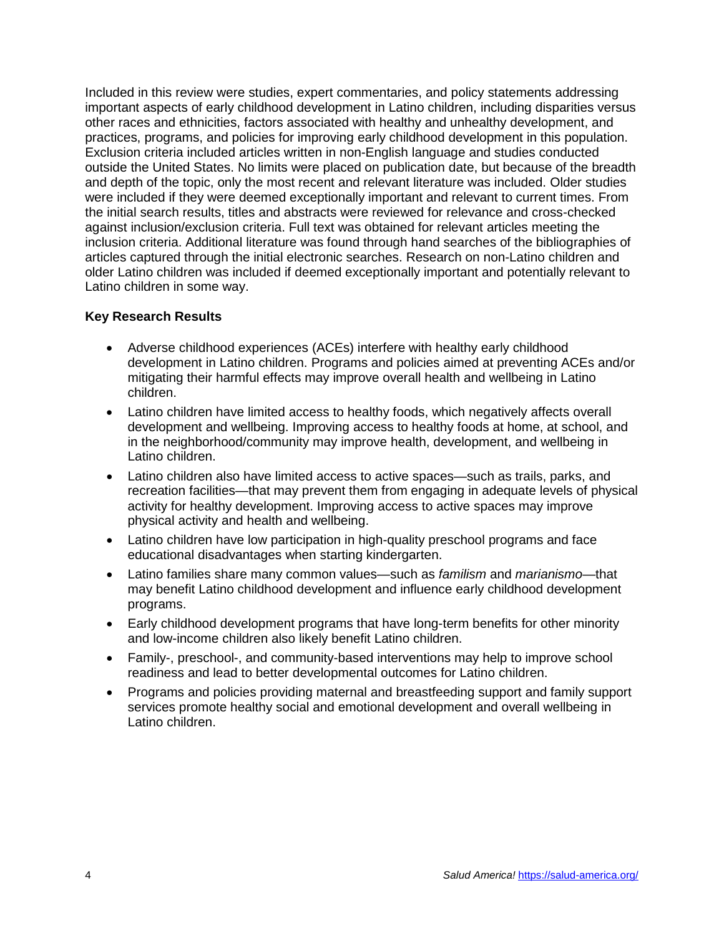Included in this review were studies, expert commentaries, and policy statements addressing important aspects of early childhood development in Latino children, including disparities versus other races and ethnicities, factors associated with healthy and unhealthy development, and practices, programs, and policies for improving early childhood development in this population. Exclusion criteria included articles written in non-English language and studies conducted outside the United States. No limits were placed on publication date, but because of the breadth and depth of the topic, only the most recent and relevant literature was included. Older studies were included if they were deemed exceptionally important and relevant to current times. From the initial search results, titles and abstracts were reviewed for relevance and cross-checked against inclusion/exclusion criteria. Full text was obtained for relevant articles meeting the inclusion criteria. Additional literature was found through hand searches of the bibliographies of articles captured through the initial electronic searches. Research on non-Latino children and older Latino children was included if deemed exceptionally important and potentially relevant to Latino children in some way.

#### **Key Research Results**

- Adverse childhood experiences (ACEs) interfere with healthy early childhood development in Latino children. Programs and policies aimed at preventing ACEs and/or mitigating their harmful effects may improve overall health and wellbeing in Latino children.
- Latino children have limited access to healthy foods, which negatively affects overall development and wellbeing. Improving access to healthy foods at home, at school, and in the neighborhood/community may improve health, development, and wellbeing in Latino children.
- Latino children also have limited access to active spaces—such as trails, parks, and recreation facilities—that may prevent them from engaging in adequate levels of physical activity for healthy development. Improving access to active spaces may improve physical activity and health and wellbeing.
- Latino children have low participation in high-quality preschool programs and face educational disadvantages when starting kindergarten.
- Latino families share many common values—such as *familism* and *marianismo—*that may benefit Latino childhood development and influence early childhood development programs.
- Early childhood development programs that have long-term benefits for other minority and low-income children also likely benefit Latino children.
- Family-, preschool-, and community-based interventions may help to improve school readiness and lead to better developmental outcomes for Latino children.
- Programs and policies providing maternal and breastfeeding support and family support services promote healthy social and emotional development and overall wellbeing in Latino children.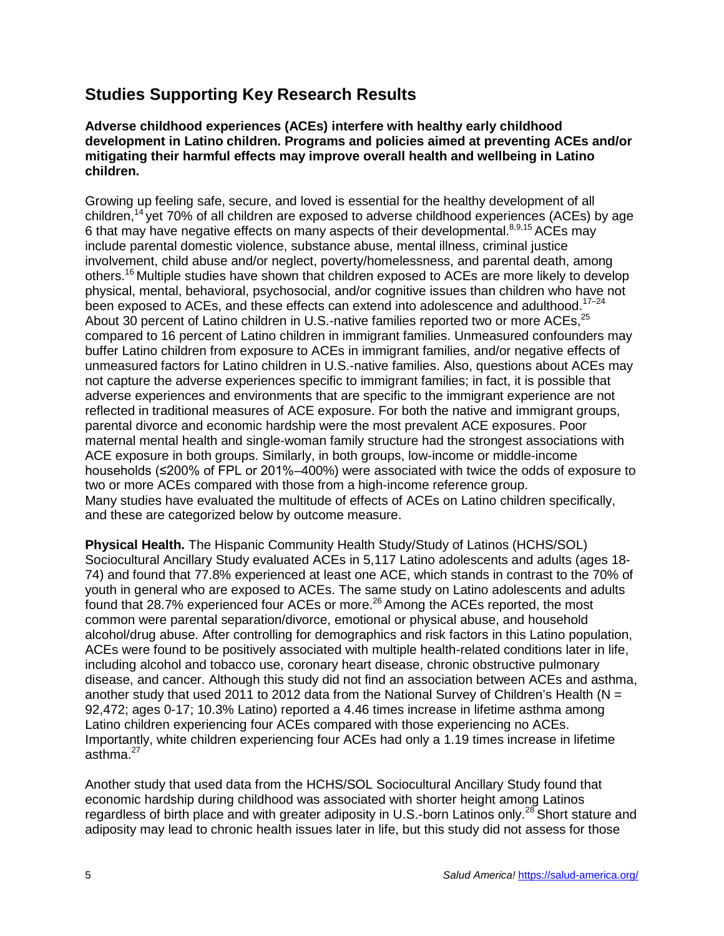# **Studies Supporting Key Research Results**

#### **Adverse childhood experiences (ACEs) interfere with healthy early childhood development in Latino children. Programs and policies aimed at preventing ACEs and/or mitigating their harmful effects may improve overall health and wellbeing in Latino children.**

Growing up feeling safe, secure, and loved is essential for the healthy development of all children,<sup>14</sup> yet 70% of all children are exposed to adverse childhood experiences (ACEs) by age 6 that may have negative effects on many aspects of their developmental.<sup>8,9,15</sup> ACEs may include parental domestic violence, substance abuse, mental illness, criminal justice involvement, child abuse and/or neglect, poverty/homelessness, and parental death, among others.<sup>16</sup> Multiple studies have shown that children exposed to ACEs are more likely to develop physical, mental, behavioral, psychosocial, and/or cognitive issues than children who have not been exposed to ACEs, and these effects can extend into adolescence and adulthood.<sup>17-24</sup> About 30 percent of Latino children in U.S.-native families reported two or more ACEs.<sup>25</sup> compared to 16 percent of Latino children in immigrant families. Unmeasured confounders may buffer Latino children from exposure to ACEs in immigrant families, and/or negative effects of unmeasured factors for Latino children in U.S.-native families. Also, questions about ACEs may not capture the adverse experiences specific to immigrant families; in fact, it is possible that adverse experiences and environments that are specific to the immigrant experience are not reflected in traditional measures of ACE exposure. For both the native and immigrant groups, parental divorce and economic hardship were the most prevalent ACE exposures. Poor maternal mental health and single-woman family structure had the strongest associations with ACE exposure in both groups. Similarly, in both groups, low-income or middle-income households (≤200% of FPL or 201%–400%) were associated with twice the odds of exposure to two or more ACEs compared with those from a high-income reference group. Many studies have evaluated the multitude of effects of ACEs on Latino children specifically, and these are categorized below by outcome measure.

**Physical Health.** The Hispanic Community Health Study/Study of Latinos (HCHS/SOL) Sociocultural Ancillary Study evaluated ACEs in 5,117 Latino adolescents and adults (ages 18- 74) and found that 77.8% experienced at least one ACE, which stands in contrast to the 70% of youth in general who are exposed to ACEs. The same study on Latino adolescents and adults found that 28.7% experienced four ACEs or more.<sup>26</sup> Among the ACEs reported, the most common were parental separation/divorce, emotional or physical abuse, and household alcohol/drug abuse. After controlling for demographics and risk factors in this Latino population, ACEs were found to be positively associated with multiple health-related conditions later in life, including alcohol and tobacco use, coronary heart disease, chronic obstructive pulmonary disease, and cancer. Although this study did not find an association between ACEs and asthma, another study that used 2011 to 2012 data from the National Survey of Children's Health ( $N =$ 92,472; ages 0-17; 10.3% Latino) reported a 4.46 times increase in lifetime asthma among Latino children experiencing four ACEs compared with those experiencing no ACEs. Importantly, white children experiencing four ACEs had only a 1.19 times increase in lifetime asthma. $27$ 

Another study that used data from the HCHS/SOL Sociocultural Ancillary Study found that economic hardship during childhood was associated with shorter height among Latinos regardless of birth place and with greater adiposity in U.S.-born Latinos only.<sup>28</sup> Short stature and adiposity may lead to chronic health issues later in life, but this study did not assess for those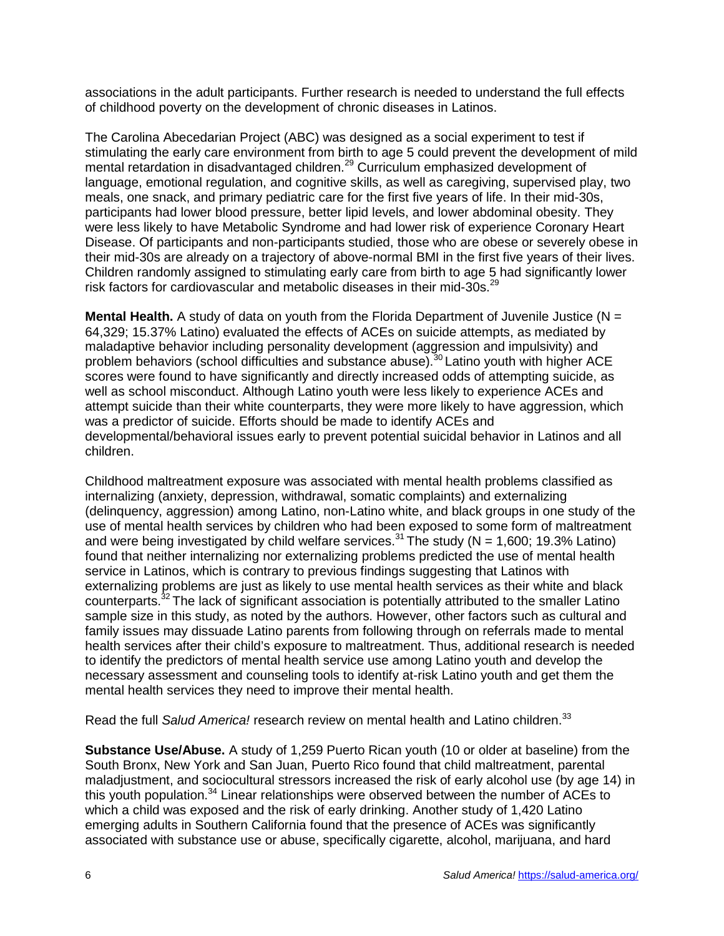associations in the adult participants. Further research is needed to understand the full effects of childhood poverty on the development of chronic diseases in Latinos.

The Carolina Abecedarian Project (ABC) was designed as a social experiment to test if stimulating the early care environment from birth to age 5 could prevent the development of mild mental retardation in disadvantaged children.<sup>29</sup> Curriculum emphasized development of language, emotional regulation, and cognitive skills, as well as caregiving, supervised play, two meals, one snack, and primary pediatric care for the first five years of life. In their mid-30s, participants had lower blood pressure, better lipid levels, and lower abdominal obesity. They were less likely to have Metabolic Syndrome and had lower risk of experience Coronary Heart Disease. Of participants and non-participants studied, those who are obese or severely obese in their mid-30s are already on a trajectory of above-normal BMI in the first five years of their lives. Children randomly assigned to stimulating early care from birth to age 5 had significantly lower risk factors for cardiovascular and metabolic diseases in their mid-30s.<sup>29</sup>

**Mental Health.** A study of data on youth from the Florida Department of Juvenile Justice (N = 64,329; 15.37% Latino) evaluated the effects of ACEs on suicide attempts, as mediated by maladaptive behavior including personality development (aggression and impulsivity) and problem behaviors (school difficulties and substance abuse).<sup>30</sup> Latino youth with higher ACE scores were found to have significantly and directly increased odds of attempting suicide, as well as school misconduct. Although Latino youth were less likely to experience ACEs and attempt suicide than their white counterparts, they were more likely to have aggression, which was a predictor of suicide. Efforts should be made to identify ACEs and developmental/behavioral issues early to prevent potential suicidal behavior in Latinos and all children.

Childhood maltreatment exposure was associated with mental health problems classified as internalizing (anxiety, depression, withdrawal, somatic complaints) and externalizing (delinquency, aggression) among Latino, non-Latino white, and black groups in one study of the use of mental health services by children who had been exposed to some form of maltreatment and were being investigated by child welfare services.<sup>31</sup> The study (N = 1,600; 19.3% Latino) found that neither internalizing nor externalizing problems predicted the use of mental health service in Latinos, which is contrary to previous findings suggesting that Latinos with externalizing problems are just as likely to use mental health services as their white and black counterparts.<sup>32</sup> The lack of significant association is potentially attributed to the smaller Latino sample size in this study, as noted by the authors. However, other factors such as cultural and family issues may dissuade Latino parents from following through on referrals made to mental health services after their child's exposure to maltreatment. Thus, additional research is needed to identify the predictors of mental health service use among Latino youth and develop the necessary assessment and counseling tools to identify at-risk Latino youth and get them the mental health services they need to improve their mental health.

Read the full *Salud America!* research review on mental health and Latino children.<sup>33</sup>

**Substance Use/Abuse.** A study of 1,259 Puerto Rican youth (10 or older at baseline) from the South Bronx, New York and San Juan, Puerto Rico found that child maltreatment, parental maladjustment, and sociocultural stressors increased the risk of early alcohol use (by age 14) in this youth population.<sup>34</sup> Linear relationships were observed between the number of ACEs to which a child was exposed and the risk of early drinking. Another study of 1,420 Latino emerging adults in Southern California found that the presence of ACEs was significantly associated with substance use or abuse, specifically cigarette, alcohol, marijuana, and hard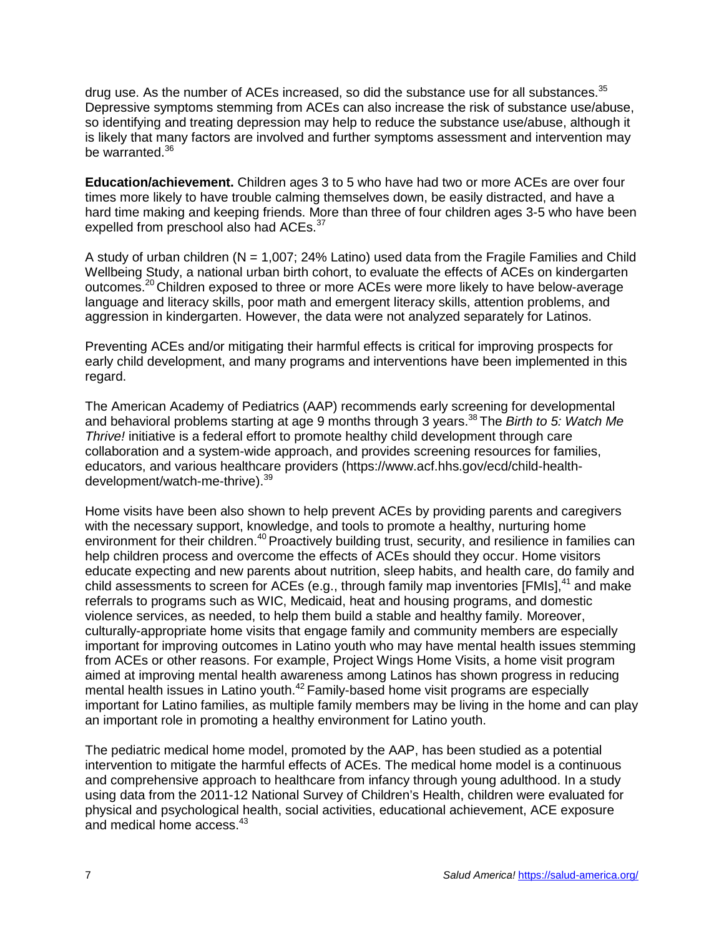drug use. As the number of ACEs increased, so did the substance use for all substances. $35$ Depressive symptoms stemming from ACEs can also increase the risk of substance use/abuse, so identifying and treating depression may help to reduce the substance use/abuse, although it is likely that many factors are involved and further symptoms assessment and intervention may be warranted.<sup>36</sup>

**Education/achievement.** Children ages 3 to 5 who have had two or more ACEs are over four times more likely to have trouble calming themselves down, be easily distracted, and have a hard time making and keeping friends. More than three of four children ages 3-5 who have been expelled from preschool also had ACEs.<sup>37</sup>

A study of urban children ( $N = 1,007$ ; 24% Latino) used data from the Fragile Families and Child Wellbeing Study, a national urban birth cohort, to evaluate the effects of ACEs on kindergarten outcomes.<sup>20</sup> Children exposed to three or more ACEs were more likely to have below-average language and literacy skills, poor math and emergent literacy skills, attention problems, and aggression in kindergarten. However, the data were not analyzed separately for Latinos.

Preventing ACEs and/or mitigating their harmful effects is critical for improving prospects for early child development, and many programs and interventions have been implemented in this regard.

The American Academy of Pediatrics (AAP) recommends early screening for developmental and behavioral problems starting at age 9 months through 3 years. <sup>38</sup> The *Birth to 5: Watch Me Thrive!* initiative is a federal effort to promote healthy child development through care collaboration and a system-wide approach, and provides screening resources for families, educators, and various healthcare providers (https://www.acf.hhs.gov/ecd/child-healthdevelopment/watch-me-thrive).<sup>39</sup>

Home visits have been also shown to help prevent ACEs by providing parents and caregivers with the necessary support, knowledge, and tools to promote a healthy, nurturing home environment for their children.<sup>40</sup> Proactively building trust, security, and resilience in families can help children process and overcome the effects of ACEs should they occur. Home visitors educate expecting and new parents about nutrition, sleep habits, and health care, do family and child assessments to screen for ACEs (e.g., through family map inventories [FMIs], $41$  and make referrals to programs such as WIC, Medicaid, heat and housing programs, and domestic violence services, as needed, to help them build a stable and healthy family. Moreover, culturally-appropriate home visits that engage family and community members are especially important for improving outcomes in Latino youth who may have mental health issues stemming from ACEs or other reasons. For example, Project Wings Home Visits, a home visit program aimed at improving mental health awareness among Latinos has shown progress in reducing mental health issues in Latino youth.<sup>42</sup> Family-based home visit programs are especially important for Latino families, as multiple family members may be living in the home and can play an important role in promoting a healthy environment for Latino youth.

The pediatric medical home model, promoted by the AAP, has been studied as a potential intervention to mitigate the harmful effects of ACEs. The medical home model is a continuous and comprehensive approach to healthcare from infancy through young adulthood. In a study using data from the 2011-12 National Survey of Children's Health, children were evaluated for physical and psychological health, social activities, educational achievement, ACE exposure and medical home access.<sup>43</sup>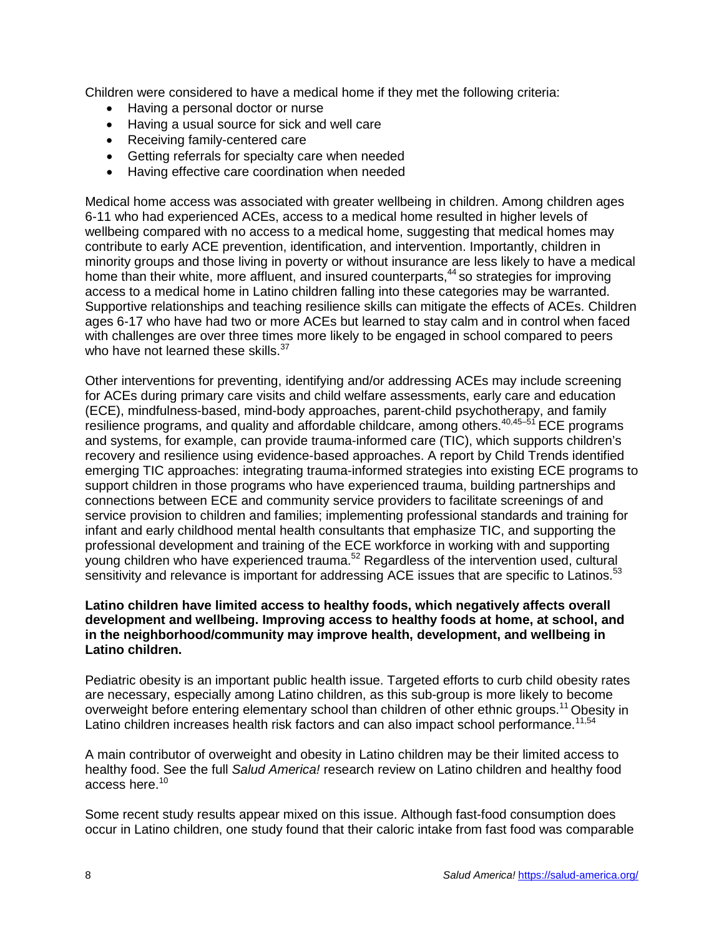Children were considered to have a medical home if they met the following criteria:

- Having a personal doctor or nurse
- Having a usual source for sick and well care
- Receiving family-centered care
- Getting referrals for specialty care when needed
- Having effective care coordination when needed

Medical home access was associated with greater wellbeing in children. Among children ages 6-11 who had experienced ACEs, access to a medical home resulted in higher levels of wellbeing compared with no access to a medical home, suggesting that medical homes may contribute to early ACE prevention, identification, and intervention. Importantly, children in minority groups and those living in poverty or without insurance are less likely to have a medical home than their white, more affluent, and insured counterparts,<sup>44</sup> so strategies for improving access to a medical home in Latino children falling into these categories may be warranted. Supportive relationships and teaching resilience skills can mitigate the effects of ACEs. Children ages 6-17 who have had two or more ACEs but learned to stay calm and in control when faced with challenges are over three times more likely to be engaged in school compared to peers who have not learned these skills.<sup>37</sup>

Other interventions for preventing, identifying and/or addressing ACEs may include screening for ACEs during primary care visits and child welfare assessments, early care and education (ECE), mindfulness-based, mind-body approaches, parent-child psychotherapy, and family resilience programs, and quality and affordable childcare, among others.  $40,45-51$  ECE programs and systems, for example, can provide trauma-informed care (TIC), which supports children's recovery and resilience using evidence-based approaches. A report by Child Trends identified emerging TIC approaches: integrating trauma-informed strategies into existing ECE programs to support children in those programs who have experienced trauma, building partnerships and connections between ECE and community service providers to facilitate screenings of and service provision to children and families; implementing professional standards and training for infant and early childhood mental health consultants that emphasize TIC, and supporting the professional development and training of the ECE workforce in working with and supporting young children who have experienced trauma.<sup>52</sup> Regardless of the intervention used, cultural sensitivity and relevance is important for addressing ACE issues that are specific to Latinos.<sup>53</sup>

#### **Latino children have limited access to healthy foods, which negatively affects overall development and wellbeing. Improving access to healthy foods at home, at school, and in the neighborhood/community may improve health, development, and wellbeing in Latino children.**

Pediatric obesity is an important public health issue. Targeted efforts to curb child obesity rates are necessary, especially among Latino children, as this sub-group is more likely to become overweight before entering elementary school than children of other ethnic groups.<sup>11</sup> Obesity in Latino children increases health risk factors and can also impact school performance.<sup>11,54</sup>

A main contributor of overweight and obesity in Latino children may be their limited access to healthy food. See the full *Salud America!* research review on Latino children and healthy food access here.<sup>10</sup>

Some recent study results appear mixed on this issue. Although fast-food consumption does occur in Latino children, one study found that their caloric intake from fast food was comparable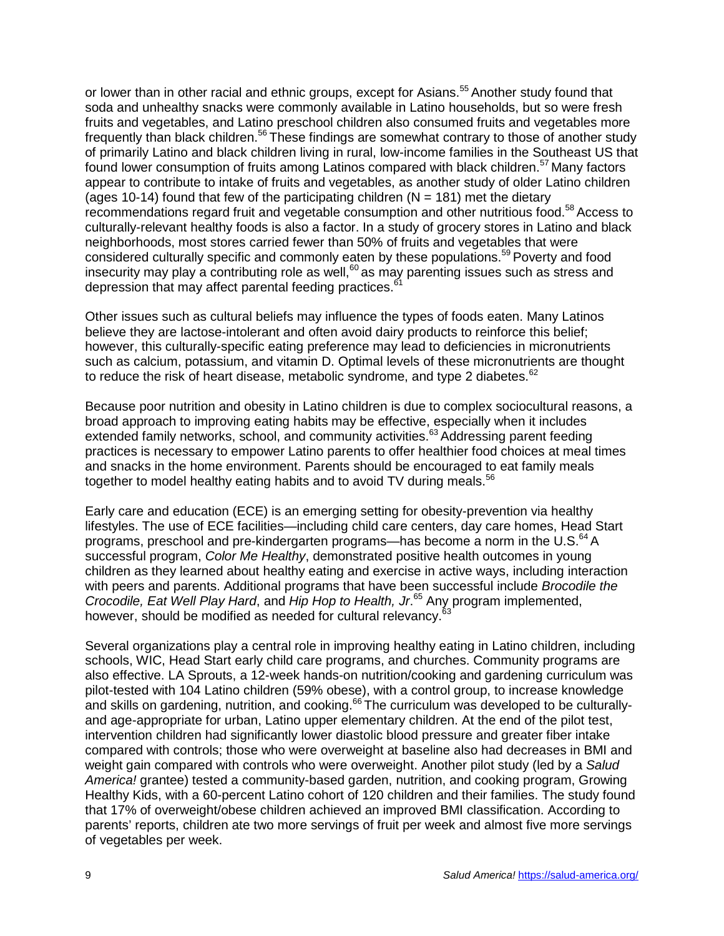or lower than in other racial and ethnic groups, except for Asians.<sup>55</sup> Another study found that soda and unhealthy snacks were commonly available in Latino households, but so were fresh fruits and vegetables, and Latino preschool children also consumed fruits and vegetables more frequently than black children.<sup>56</sup> These findings are somewhat contrary to those of another study of primarily Latino and black children living in rural, low-income families in the Southeast US that found lower consumption of fruits among Latinos compared with black children.<sup>57</sup> Many factors appear to contribute to intake of fruits and vegetables, as another study of older Latino children (ages 10-14) found that few of the participating children  $(N = 181)$  met the dietary recommendations regard fruit and vegetable consumption and other nutritious food.<sup>58</sup> Access to culturally-relevant healthy foods is also a factor. In a study of grocery stores in Latino and black neighborhoods, most stores carried fewer than 50% of fruits and vegetables that were considered culturally specific and commonly eaten by these populations. <sup>59</sup> Poverty and food insecurity may play a contributing role as well,  $60$  as may parenting issues such as stress and depression that may affect parental feeding practices.<sup>6</sup>

Other issues such as cultural beliefs may influence the types of foods eaten. Many Latinos believe they are lactose-intolerant and often avoid dairy products to reinforce this belief; however, this culturally-specific eating preference may lead to deficiencies in micronutrients such as calcium, potassium, and vitamin D. Optimal levels of these micronutrients are thought to reduce the risk of heart disease, metabolic syndrome, and type 2 diabetes. $62$ 

Because poor nutrition and obesity in Latino children is due to complex sociocultural reasons, a broad approach to improving eating habits may be effective, especially when it includes extended family networks, school, and community activities.<sup>63</sup> Addressing parent feeding practices is necessary to empower Latino parents to offer healthier food choices at meal times and snacks in the home environment. Parents should be encouraged to eat family meals together to model healthy eating habits and to avoid TV during meals.<sup>56</sup>

Early care and education (ECE) is an emerging setting for obesity-prevention via healthy lifestyles. The use of ECE facilities—including child care centers, day care homes, Head Start programs, preschool and pre-kindergarten programs—has become a norm in the U.S.<sup>64</sup> A successful program, *Color Me Healthy*, demonstrated positive health outcomes in young children as they learned about healthy eating and exercise in active ways, including interaction with peers and parents. Additional programs that have been successful include *Brocodile the Crocodile, Eat Well Play Hard*, and *Hip Hop to Health, Jr*. <sup>65</sup> Any program implemented, however, should be modified as needed for cultural relevancy.<sup>6</sup>

Several organizations play a central role in improving healthy eating in Latino children, including schools, WIC, Head Start early child care programs, and churches. Community programs are also effective. LA Sprouts, a 12-week hands-on nutrition/cooking and gardening curriculum was pilot-tested with 104 Latino children (59% obese), with a control group, to increase knowledge and skills on gardening, nutrition, and cooking.<sup>66</sup> The curriculum was developed to be culturallyand age-appropriate for urban, Latino upper elementary children. At the end of the pilot test, intervention children had significantly lower diastolic blood pressure and greater fiber intake compared with controls; those who were overweight at baseline also had decreases in BMI and weight gain compared with controls who were overweight. Another pilot study (led by a *Salud America!* grantee) tested a community-based garden, nutrition, and cooking program, Growing Healthy Kids, with a 60-percent Latino cohort of 120 children and their families. The study found that 17% of overweight/obese children achieved an improved BMI classification. According to parents' reports, children ate two more servings of fruit per week and almost five more servings of vegetables per week.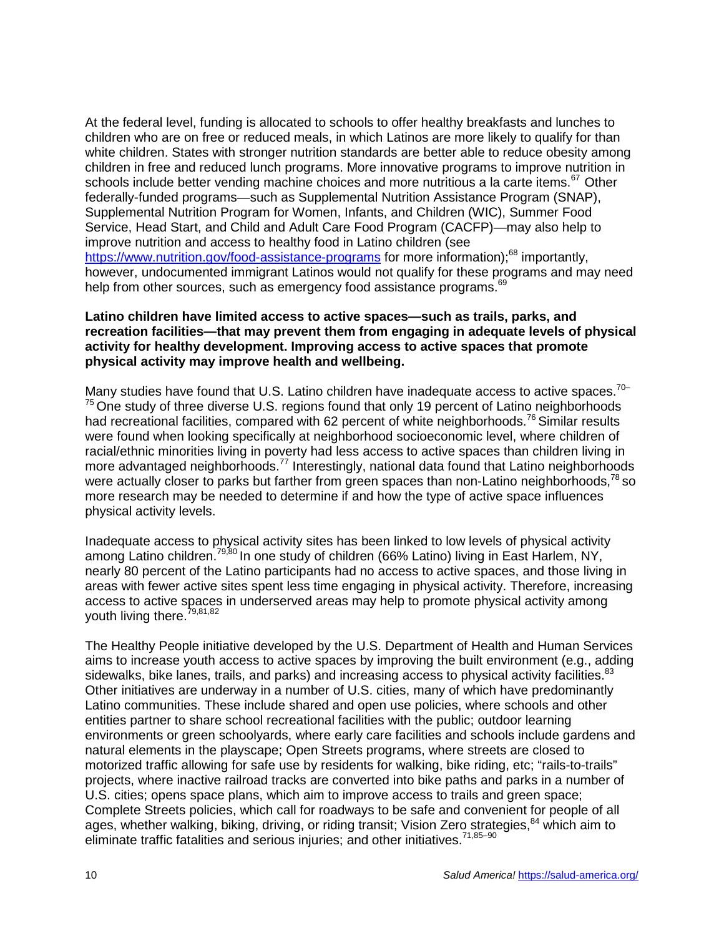At the federal level, funding is allocated to schools to offer healthy breakfasts and lunches to children who are on free or reduced meals, in which Latinos are more likely to qualify for than white children. States with stronger nutrition standards are better able to reduce obesity among children in free and reduced lunch programs. More innovative programs to improve nutrition in schools include better vending machine choices and more nutritious a la carte items.<sup>67</sup> Other federally-funded programs—such as Supplemental Nutrition Assistance Program (SNAP), Supplemental Nutrition Program for Women, Infants, and Children (WIC), Summer Food Service, Head Start, and Child and Adult Care Food Program (CACFP)—may also help to improve nutrition and access to healthy food in Latino children (see <https://www.nutrition.gov/food-assistance-programs> for more information);<sup>68</sup> importantly, however, undocumented immigrant Latinos would not qualify for these programs and may need help from other sources, such as emergency food assistance programs.<sup>69</sup>

#### **Latino children have limited access to active spaces—such as trails, parks, and recreation facilities—that may prevent them from engaging in adequate levels of physical activity for healthy development. Improving access to active spaces that promote physical activity may improve health and wellbeing.**

Many studies have found that U.S. Latino children have inadequate access to active spaces.<sup>70-</sup>  $75$  One study of three diverse U.S. regions found that only 19 percent of Latino neighborhoods had recreational facilities, compared with 62 percent of white neighborhoods.<sup>76</sup> Similar results were found when looking specifically at neighborhood socioeconomic level, where children of racial/ethnic minorities living in poverty had less access to active spaces than children living in more advantaged neighborhoods.<sup>77</sup> Interestingly, national data found that Latino neighborhoods were actually closer to parks but farther from green spaces than non-Latino neighborhoods, $^{78}$  so more research may be needed to determine if and how the type of active space influences physical activity levels.

Inadequate access to physical activity sites has been linked to low levels of physical activity among Latino children.<sup>79,80</sup> In one study of children (66% Latino) living in East Harlem, NY, nearly 80 percent of the Latino participants had no access to active spaces, and those living in areas with fewer active sites spent less time engaging in physical activity. Therefore, increasing access to active spaces in underserved areas may help to promote physical activity among youth living there.<sup>79,81,82</sup>

The Healthy People initiative developed by the U.S. Department of Health and Human Services aims to increase youth access to active spaces by improving the built environment (e.g., adding sidewalks, bike lanes, trails, and parks) and increasing access to physical activity facilities.<sup>83</sup> Other initiatives are underway in a number of U.S. cities, many of which have predominantly Latino communities. These include shared and open use policies, where schools and other entities partner to share school recreational facilities with the public; outdoor learning environments or green schoolyards, where early care facilities and schools include gardens and natural elements in the playscape; Open Streets programs, where streets are closed to motorized traffic allowing for safe use by residents for walking, bike riding, etc; "rails-to-trails" projects, where inactive railroad tracks are converted into bike paths and parks in a number of U.S. cities; opens space plans, which aim to improve access to trails and green space; Complete Streets policies, which call for roadways to be safe and convenient for people of all ages, whether walking, biking, driving, or riding transit; Vision Zero strategies,<sup>84</sup> which aim to eliminate traffic fatalities and serious injuries; and other initiatives.<sup>71,85-90</sup>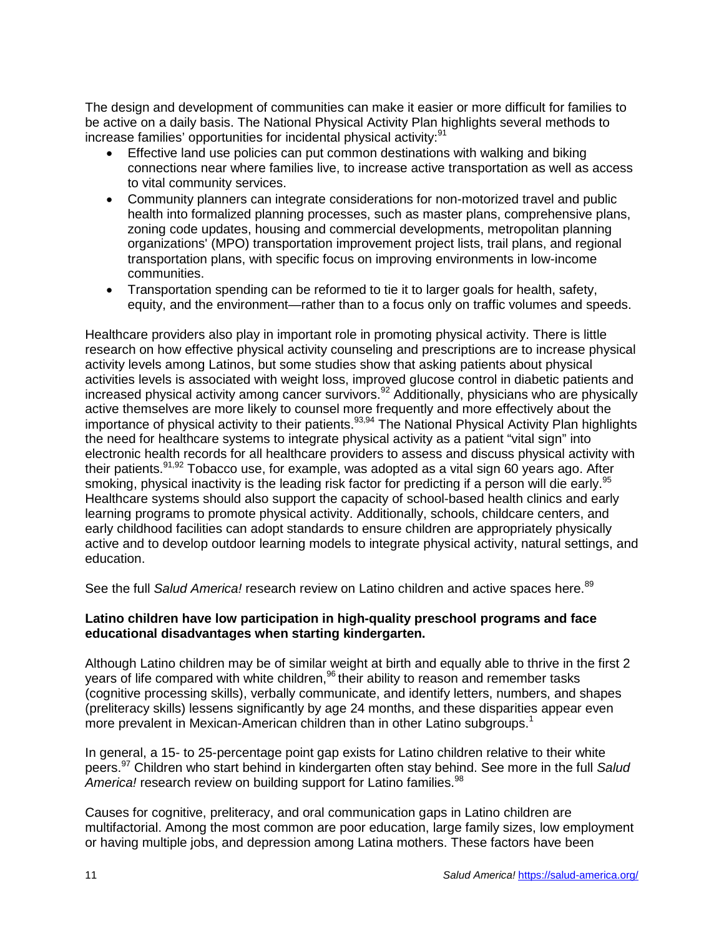The design and development of communities can make it easier or more difficult for families to be active on a daily basis. The National Physical Activity Plan highlights several methods to increase families' opportunities for incidental physical activity:<sup>91</sup>

- Effective land use policies can put common destinations with walking and biking connections near where families live, to increase active transportation as well as access to vital community services.
- Community planners can integrate considerations for non-motorized travel and public health into formalized planning processes, such as master plans, comprehensive plans, zoning code updates, housing and commercial developments, metropolitan planning organizations' (MPO) transportation improvement project lists, trail plans, and regional transportation plans, with specific focus on improving environments in low-income communities.
- Transportation spending can be reformed to tie it to larger goals for health, safety, equity, and the environment—rather than to a focus only on traffic volumes and speeds.

Healthcare providers also play in important role in promoting physical activity. There is little research on how effective physical activity counseling and prescriptions are to increase physical activity levels among Latinos, but some studies show that asking patients about physical activities levels is associated with weight loss, improved glucose control in diabetic patients and increased physical activity among cancer survivors.<sup>92</sup> Additionally, physicians who are physically active themselves are more likely to counsel more frequently and more effectively about the importance of physical activity to their patients.<sup>93,94</sup> The National Physical Activity Plan highlights the need for healthcare systems to integrate physical activity as a patient "vital sign" into electronic health records for all healthcare providers to assess and discuss physical activity with their patients.  $91,92$  Tobacco use, for example, was adopted as a vital sign 60 years ago. After smoking, physical inactivity is the leading risk factor for predicting if a person will die early.<sup>95</sup> Healthcare systems should also support the capacity of school-based health clinics and early learning programs to promote physical activity. Additionally, schools, childcare centers, and early childhood facilities can adopt standards to ensure children are appropriately physically active and to develop outdoor learning models to integrate physical activity, natural settings, and education.

See the full Salud America! research review on Latino children and active spaces here.<sup>89</sup>

#### **Latino children have low participation in high-quality preschool programs and face educational disadvantages when starting kindergarten.**

Although Latino children may be of similar weight at birth and equally able to thrive in the first 2 years of life compared with white children, <sup>96</sup> their ability to reason and remember tasks (cognitive processing skills), verbally communicate, and identify letters, numbers, and shapes (preliteracy skills) lessens significantly by age 24 months, and these disparities appear even more prevalent in Mexican-American children than in other Latino subgroups.<sup>1</sup>

In general, a 15- to 25-percentage point gap exists for Latino children relative to their white peers.<sup>97</sup> Children who start behind in kindergarten often stay behind. See more in the full *Salud*  America! research review on building support for Latino families.<sup>98</sup>

Causes for cognitive, preliteracy, and oral communication gaps in Latino children are multifactorial. Among the most common are poor education, large family sizes, low employment or having multiple jobs, and depression among Latina mothers. These factors have been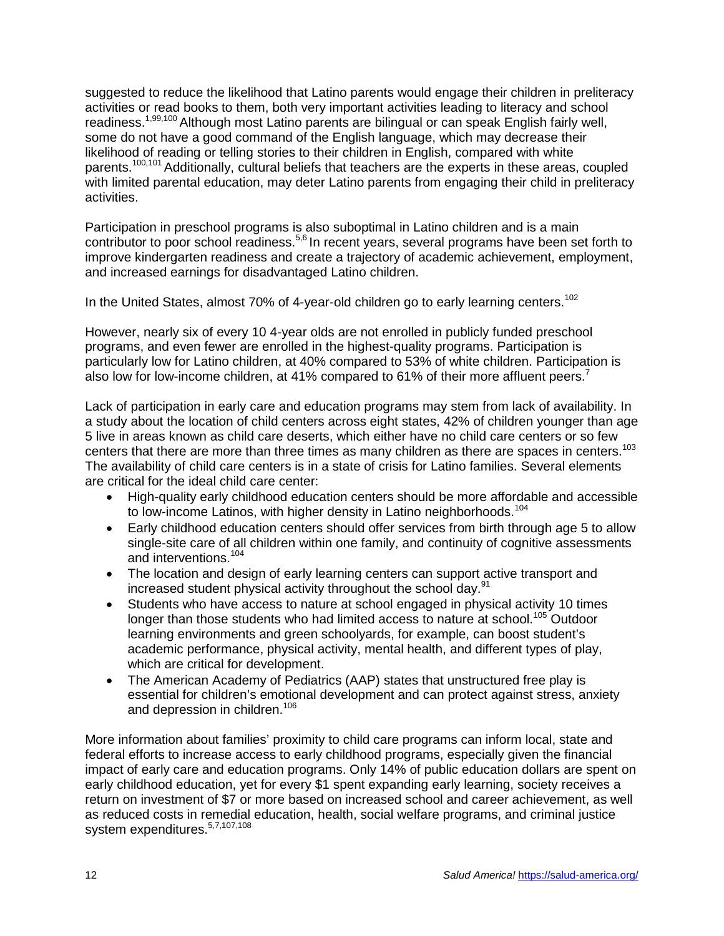suggested to reduce the likelihood that Latino parents would engage their children in preliteracy activities or read books to them, both very important activities leading to literacy and school readiness.<sup>1,99,100</sup> Although most Latino parents are bilingual or can speak English fairly well, some do not have a good command of the English language, which may decrease their likelihood of reading or telling stories to their children in English, compared with white parents.<sup>100,101</sup> Additionally, cultural beliefs that teachers are the experts in these areas, coupled with limited parental education, may deter Latino parents from engaging their child in preliteracy activities.

Participation in preschool programs is also suboptimal in Latino children and is a main contributor to poor school readiness.<sup>5,6</sup> In recent years, several programs have been set forth to improve kindergarten readiness and create a trajectory of academic achievement, employment, and increased earnings for disadvantaged Latino children.

In the United States, almost 70% of 4-year-old children go to early learning centers.<sup>102</sup>

However, nearly six of every 10 4-year olds are not enrolled in publicly funded preschool programs, and even fewer are enrolled in the highest-quality programs. Participation is particularly low for Latino children, at 40% compared to 53% of white children. Participation is also low for low-income children, at 41% compared to 61% of their more affluent peers.<sup>7</sup>

Lack of participation in early care and education programs may stem from lack of availability. In a study about the location of child centers across eight states, 42% of children younger than age 5 live in areas known as child care deserts, which either have no child care centers or so few centers that there are more than three times as many children as there are spaces in centers.<sup>103</sup> The availability of child care centers is in a state of crisis for Latino families. Several elements are critical for the ideal child care center:

- High-quality early childhood education centers should be more affordable and accessible to low-income Latinos, with higher density in Latino neighborhoods.<sup>104</sup>
- Early childhood education centers should offer services from birth through age 5 to allow single-site care of all children within one family, and continuity of cognitive assessments and interventions.<sup>104</sup>
- The location and design of early learning centers can support active transport and increased student physical activity throughout the school day.<sup>91</sup>
- Students who have access to nature at school engaged in physical activity 10 times longer than those students who had limited access to nature at school.<sup>105</sup> Outdoor learning environments and green schoolyards, for example, can boost student's academic performance, physical activity, mental health, and different types of play, which are critical for development.
- The American Academy of Pediatrics (AAP) states that unstructured free play is essential for children's emotional development and can protect against stress, anxiety and depression in children.<sup>106</sup>

More information about families' proximity to child care programs can inform local, state and federal efforts to increase access to early childhood programs, especially given the financial impact of early care and education programs. Only 14% of public education dollars are spent on early childhood education, yet for every \$1 spent expanding early learning, society receives a return on investment of \$7 or more based on increased school and career achievement, as well as reduced costs in remedial education, health, social welfare programs, and criminal justice system expenditures.<sup>5,7,107,108</sup>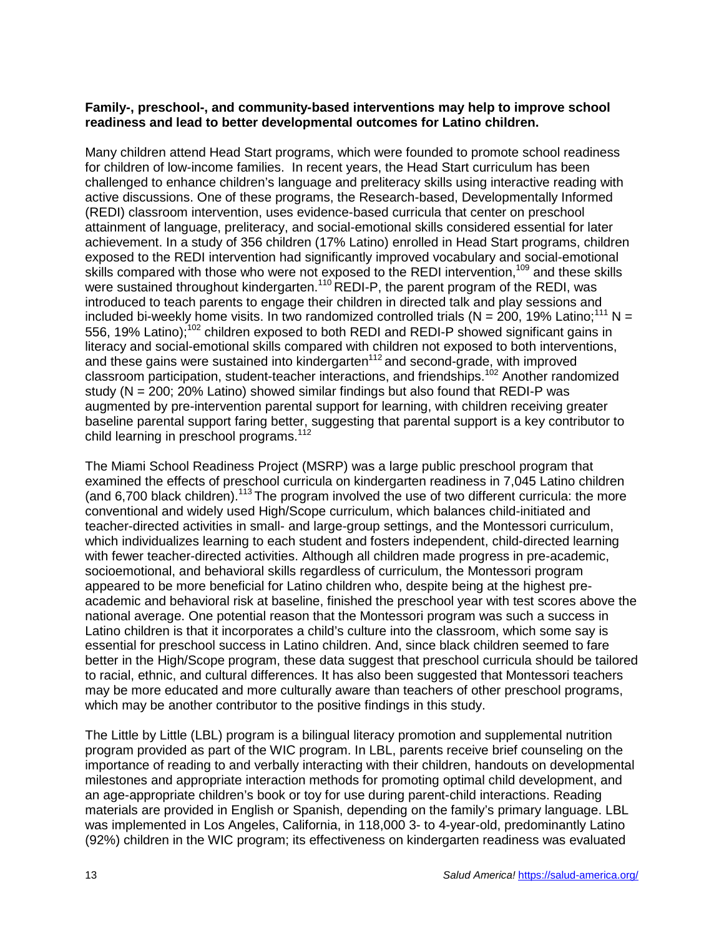#### **Family-, preschool-, and community-based interventions may help to improve school readiness and lead to better developmental outcomes for Latino children.**

Many children attend Head Start programs, which were founded to promote school readiness for children of low-income families. In recent years, the Head Start curriculum has been challenged to enhance children's language and preliteracy skills using interactive reading with active discussions. One of these programs, the Research-based, Developmentally Informed (REDI) classroom intervention, uses evidence-based curricula that center on preschool attainment of language, preliteracy, and social-emotional skills considered essential for later achievement. In a study of 356 children (17% Latino) enrolled in Head Start programs, children exposed to the REDI intervention had significantly improved vocabulary and social-emotional skills compared with those who were not exposed to the REDI intervention,<sup>109</sup> and these skills were sustained throughout kindergarten.<sup>110</sup> REDI-P, the parent program of the REDI, was introduced to teach parents to engage their children in directed talk and play sessions and included bi-weekly home visits. In two randomized controlled trials ( $N = 200$ , 19% Latino;<sup>111</sup> N = 556, 19% Latino);<sup>102</sup> children exposed to both REDI and REDI-P showed significant gains in literacy and social-emotional skills compared with children not exposed to both interventions, and these gains were sustained into kindergarten<sup>112</sup> and second-grade, with improved classroom participation, student-teacher interactions, and friendships. <sup>102</sup> Another randomized study ( $N = 200$ ; 20% Latino) showed similar findings but also found that REDI-P was augmented by pre-intervention parental support for learning, with children receiving greater baseline parental support faring better, suggesting that parental support is a key contributor to child learning in preschool programs.<sup>112</sup>

The Miami School Readiness Project (MSRP) was a large public preschool program that examined the effects of preschool curricula on kindergarten readiness in 7,045 Latino children (and 6,700 black children).<sup>113</sup> The program involved the use of two different curricula: the more conventional and widely used High/Scope curriculum, which balances child-initiated and teacher-directed activities in small- and large-group settings, and the Montessori curriculum, which individualizes learning to each student and fosters independent, child-directed learning with fewer teacher-directed activities. Although all children made progress in pre-academic, socioemotional, and behavioral skills regardless of curriculum, the Montessori program appeared to be more beneficial for Latino children who, despite being at the highest preacademic and behavioral risk at baseline, finished the preschool year with test scores above the national average. One potential reason that the Montessori program was such a success in Latino children is that it incorporates a child's culture into the classroom, which some say is essential for preschool success in Latino children. And, since black children seemed to fare better in the High/Scope program, these data suggest that preschool curricula should be tailored to racial, ethnic, and cultural differences. It has also been suggested that Montessori teachers may be more educated and more culturally aware than teachers of other preschool programs, which may be another contributor to the positive findings in this study.

The Little by Little (LBL) program is a bilingual literacy promotion and supplemental nutrition program provided as part of the WIC program. In LBL, parents receive brief counseling on the importance of reading to and verbally interacting with their children, handouts on developmental milestones and appropriate interaction methods for promoting optimal child development, and an age-appropriate children's book or toy for use during parent-child interactions. Reading materials are provided in English or Spanish, depending on the family's primary language. LBL was implemented in Los Angeles, California, in 118,000 3- to 4-year-old, predominantly Latino (92%) children in the WIC program; its effectiveness on kindergarten readiness was evaluated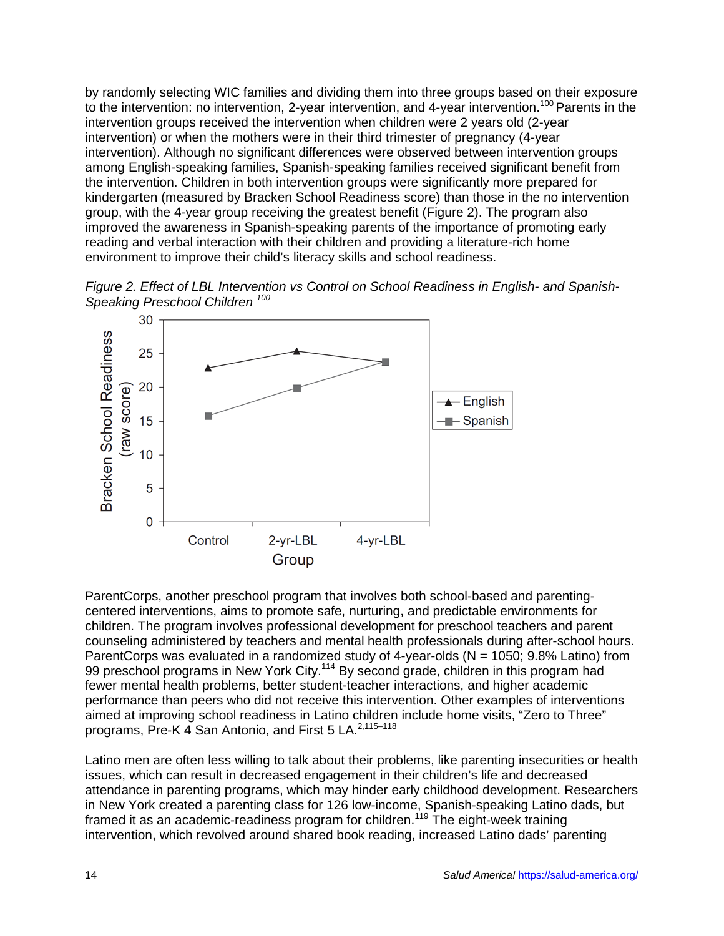by randomly selecting WIC families and dividing them into three groups based on their exposure to the intervention: no intervention, 2-year intervention, and 4-year intervention.<sup>100</sup> Parents in the intervention groups received the intervention when children were 2 years old (2-year intervention) or when the mothers were in their third trimester of pregnancy (4-year intervention). Although no significant differences were observed between intervention groups among English-speaking families, Spanish-speaking families received significant benefit from the intervention. Children in both intervention groups were significantly more prepared for kindergarten (measured by Bracken School Readiness score) than those in the no intervention group, with the 4-year group receiving the greatest benefit (Figure 2). The program also improved the awareness in Spanish-speaking parents of the importance of promoting early reading and verbal interaction with their children and providing a literature-rich home environment to improve their child's literacy skills and school readiness.





ParentCorps, another preschool program that involves both school-based and parentingcentered interventions, aims to promote safe, nurturing, and predictable environments for children. The program involves professional development for preschool teachers and parent counseling administered by teachers and mental health professionals during after-school hours. ParentCorps was evaluated in a randomized study of 4-year-olds ( $N = 1050$ ; 9.8% Latino) from 99 preschool programs in New York City.<sup>114</sup> By second grade, children in this program had fewer mental health problems, better student-teacher interactions, and higher academic performance than peers who did not receive this intervention. Other examples of interventions aimed at improving school readiness in Latino children include home visits, "Zero to Three" programs, Pre-K 4 San Antonio, and First 5 LA.<sup>2,115-118</sup>

Latino men are often less willing to talk about their problems, like parenting insecurities or health issues, which can result in decreased engagement in their children's life and decreased attendance in parenting programs, which may hinder early childhood development. Researchers in New York created a parenting class for 126 low-income, Spanish-speaking Latino dads, but framed it as an academic-readiness program for children.<sup>119</sup> The eight-week training intervention, which revolved around shared book reading, increased Latino dads' parenting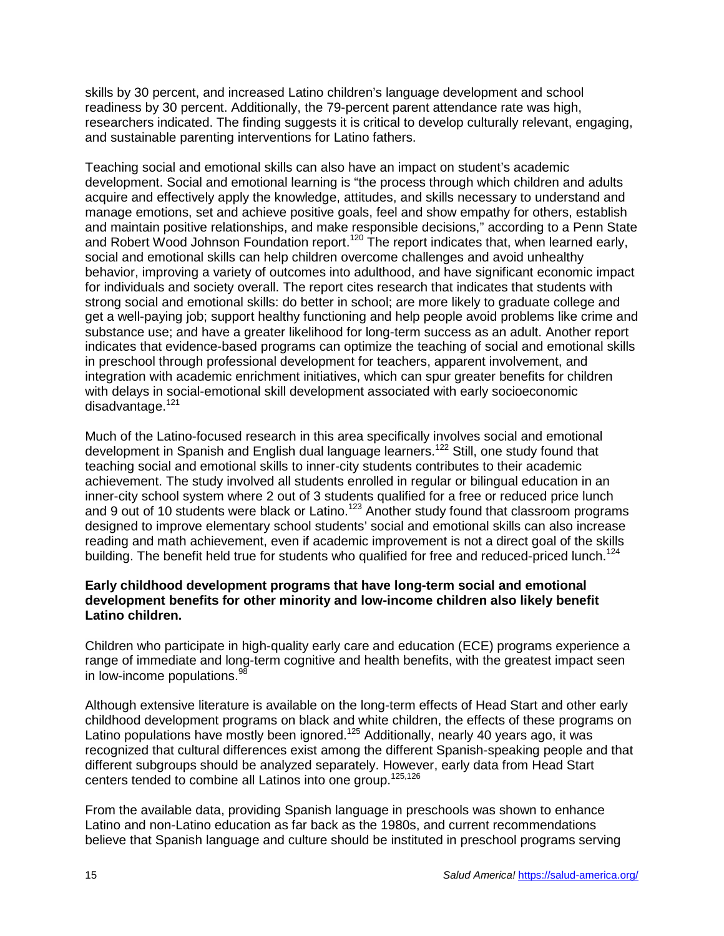skills by 30 percent, and increased Latino children's language development and school readiness by 30 percent. Additionally, the 79-percent parent attendance rate was high, researchers indicated. The finding suggests it is critical to develop culturally relevant, engaging, and sustainable parenting interventions for Latino fathers.

Teaching social and emotional skills can also have an impact on student's academic development. Social and emotional learning is "the process through which children and adults acquire and effectively apply the knowledge, attitudes, and skills necessary to understand and manage emotions, set and achieve positive goals, feel and show empathy for others, establish and maintain positive relationships, and make responsible decisions," according to a Penn State and Robert Wood Johnson Foundation report.<sup>120</sup> The report indicates that, when learned early, social and emotional skills can help children overcome challenges and avoid unhealthy behavior, improving a variety of outcomes into adulthood, and have significant economic impact for individuals and society overall. The report cites research that indicates that students with strong social and emotional skills: do better in school; are more likely to graduate college and get a well-paying job; support healthy functioning and help people avoid problems like crime and substance use; and have a greater likelihood for long-term success as an adult. Another report indicates that evidence-based programs can optimize the teaching of social and emotional skills in preschool through professional development for teachers, apparent involvement, and integration with academic enrichment initiatives, which can spur greater benefits for children with delays in social-emotional skill development associated with early socioeconomic disadvantage.<sup>121</sup>

Much of the Latino-focused research in this area specifically involves social and emotional development in Spanish and English dual language learners.<sup>122</sup> Still, one study found that teaching social and emotional skills to inner-city students contributes to their academic achievement. The study involved all students enrolled in regular or bilingual education in an inner-city school system where 2 out of 3 students qualified for a free or reduced price lunch and 9 out of 10 students were black or Latino.<sup>123</sup> Another study found that classroom programs designed to improve elementary school students' social and emotional skills can also increase reading and math achievement, even if academic improvement is not a direct goal of the skills building. The benefit held true for students who qualified for free and reduced-priced lunch.<sup>124</sup>

#### **Early childhood development programs that have long-term social and emotional development benefits for other minority and low-income children also likely benefit Latino children.**

Children who participate in high-quality early care and education (ECE) programs experience a range of immediate and long-term cognitive and health benefits, with the greatest impact seen in low-income populations.<sup>98</sup>

Although extensive literature is available on the long-term effects of Head Start and other early childhood development programs on black and white children, the effects of these programs on Latino populations have mostly been ignored.<sup>125</sup> Additionally, nearly 40 years ago, it was recognized that cultural differences exist among the different Spanish-speaking people and that different subgroups should be analyzed separately. However, early data from Head Start centers tended to combine all Latinos into one group.<sup>125,126</sup>

From the available data, providing Spanish language in preschools was shown to enhance Latino and non-Latino education as far back as the 1980s, and current recommendations believe that Spanish language and culture should be instituted in preschool programs serving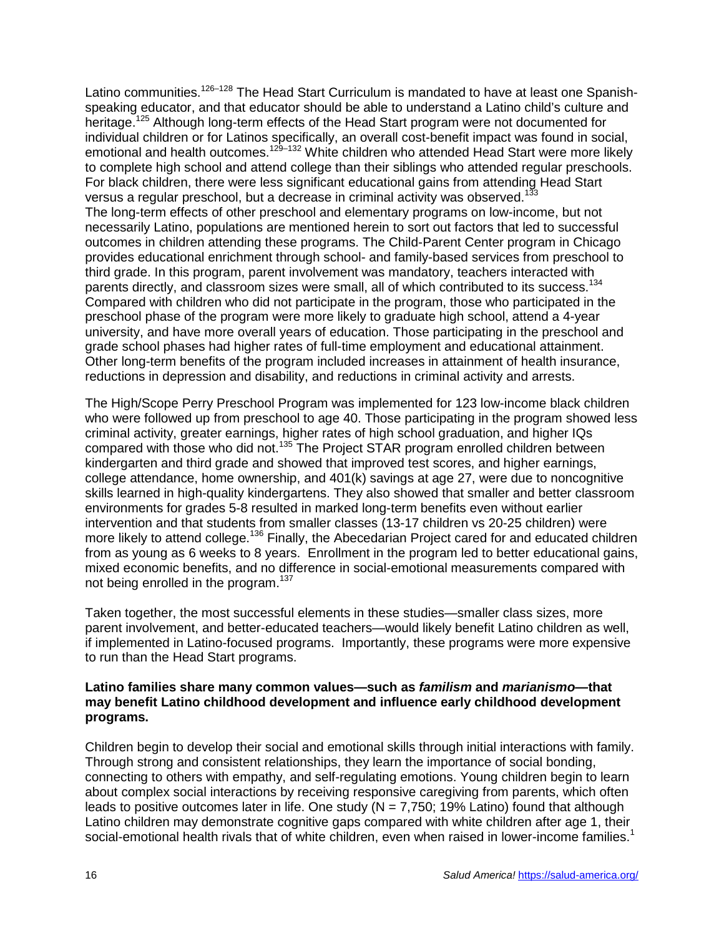Latino communities.<sup>126–128</sup> The Head Start Curriculum is mandated to have at least one Spanishspeaking educator, and that educator should be able to understand a Latino child's culture and heritage.<sup>125</sup> Although long-term effects of the Head Start program were not documented for individual children or for Latinos specifically, an overall cost-benefit impact was found in social, emotional and health outcomes.129–132 White children who attended Head Start were more likely to complete high school and attend college than their siblings who attended regular preschools. For black children, there were less significant educational gains from attending Head Start versus a regular preschool, but a decrease in criminal activity was observed.<sup>133</sup> The long-term effects of other preschool and elementary programs on low-income, but not necessarily Latino, populations are mentioned herein to sort out factors that led to successful outcomes in children attending these programs. The Child-Parent Center program in Chicago provides educational enrichment through school- and family-based services from preschool to third grade. In this program, parent involvement was mandatory, teachers interacted with parents directly, and classroom sizes were small, all of which contributed to its success.<sup>134</sup> Compared with children who did not participate in the program, those who participated in the preschool phase of the program were more likely to graduate high school, attend a 4-year university, and have more overall years of education. Those participating in the preschool and grade school phases had higher rates of full-time employment and educational attainment. Other long-term benefits of the program included increases in attainment of health insurance, reductions in depression and disability, and reductions in criminal activity and arrests.

The High/Scope Perry Preschool Program was implemented for 123 low-income black children who were followed up from preschool to age 40. Those participating in the program showed less criminal activity, greater earnings, higher rates of high school graduation, and higher IQs compared with those who did not.<sup>135</sup> The Project STAR program enrolled children between kindergarten and third grade and showed that improved test scores, and higher earnings, college attendance, home ownership, and 401(k) savings at age 27, were due to noncognitive skills learned in high-quality kindergartens. They also showed that smaller and better classroom environments for grades 5-8 resulted in marked long-term benefits even without earlier intervention and that students from smaller classes (13-17 children vs 20-25 children) were more likely to attend college.<sup>136</sup> Finally, the Abecedarian Project cared for and educated children from as young as 6 weeks to 8 years. Enrollment in the program led to better educational gains, mixed economic benefits, and no difference in social-emotional measurements compared with not being enrolled in the program.<sup>137</sup>

Taken together, the most successful elements in these studies—smaller class sizes, more parent involvement, and better-educated teachers—would likely benefit Latino children as well, if implemented in Latino-focused programs. Importantly, these programs were more expensive to run than the Head Start programs.

#### **Latino families share many common values—such as** *familism* **and** *marianismo—***that may benefit Latino childhood development and influence early childhood development programs.**

Children begin to develop their social and emotional skills through initial interactions with family. Through strong and consistent relationships, they learn the importance of social bonding, connecting to others with empathy, and self-regulating emotions. Young children begin to learn about complex social interactions by receiving responsive caregiving from parents, which often leads to positive outcomes later in life. One study  $(N = 7.750; 19\%$  Latino) found that although Latino children may demonstrate cognitive gaps compared with white children after age 1, their social-emotional health rivals that of white children, even when raised in lower-income families.<sup>1</sup>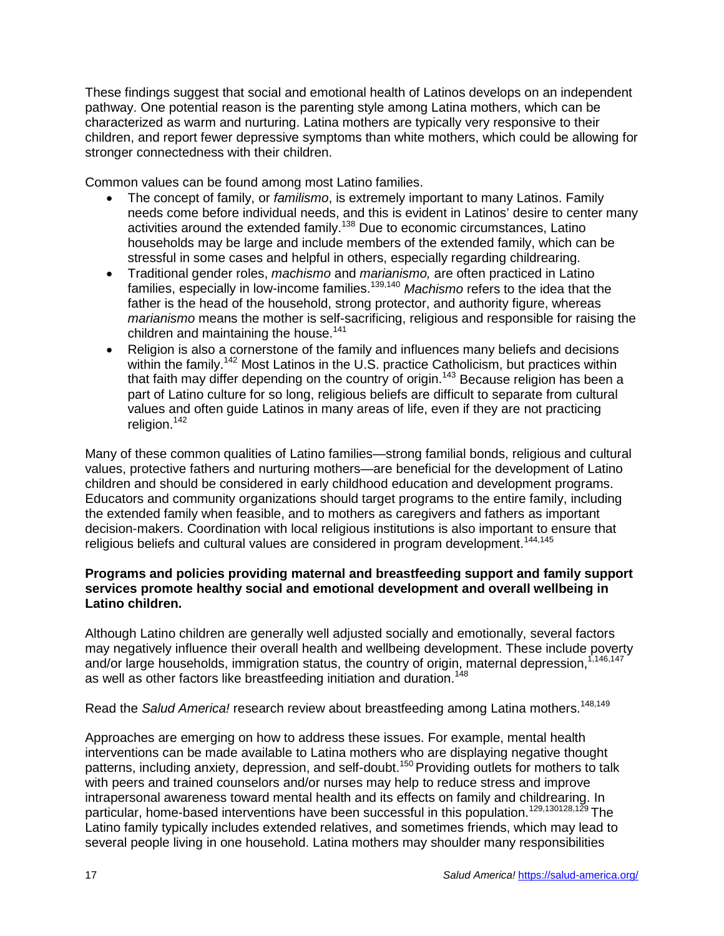These findings suggest that social and emotional health of Latinos develops on an independent pathway. One potential reason is the parenting style among Latina mothers, which can be characterized as warm and nurturing. Latina mothers are typically very responsive to their children, and report fewer depressive symptoms than white mothers, which could be allowing for stronger connectedness with their children.

Common values can be found among most Latino families.

- The concept of family, or *familismo*, is extremely important to many Latinos. Family needs come before individual needs, and this is evident in Latinos' desire to center many activities around the extended family.<sup>138</sup> Due to economic circumstances, Latino households may be large and include members of the extended family, which can be stressful in some cases and helpful in others, especially regarding childrearing.
- Traditional gender roles, *machismo* and *marianismo,* are often practiced in Latino families, especially in low-income families.139,140 *Machismo* refers to the idea that the father is the head of the household, strong protector, and authority figure, whereas *marianismo* means the mother is self-sacrificing, religious and responsible for raising the children and maintaining the house.<sup>141</sup>
- Religion is also a cornerstone of the family and influences many beliefs and decisions within the family.<sup>142</sup> Most Latinos in the U.S. practice Catholicism, but practices within that faith may differ depending on the country of origin.<sup>143</sup> Because religion has been a part of Latino culture for so long, religious beliefs are difficult to separate from cultural values and often guide Latinos in many areas of life, even if they are not practicing religion. 142

Many of these common qualities of Latino families—strong familial bonds, religious and cultural values, protective fathers and nurturing mothers—are beneficial for the development of Latino children and should be considered in early childhood education and development programs. Educators and community organizations should target programs to the entire family, including the extended family when feasible, and to mothers as caregivers and fathers as important decision-makers. Coordination with local religious institutions is also important to ensure that religious beliefs and cultural values are considered in program development.<sup>144,145</sup>

#### **Programs and policies providing maternal and breastfeeding support and family support services promote healthy social and emotional development and overall wellbeing in Latino children.**

Although Latino children are generally well adjusted socially and emotionally, several factors may negatively influence their overall health and wellbeing development. These include poverty and/or large households, immigration status, the country of origin, maternal depression,<sup>1,146,147</sup> as well as other factors like breastfeeding initiation and duration. 148

Read the Salud America! research review about breastfeeding among Latina mothers.<sup>148,149</sup>

Approaches are emerging on how to address these issues. For example, mental health interventions can be made available to Latina mothers who are displaying negative thought patterns, including anxiety, depression, and self-doubt.<sup>150</sup> Providing outlets for mothers to talk with peers and trained counselors and/or nurses may help to reduce stress and improve intrapersonal awareness toward mental health and its effects on family and childrearing. In particular, home-based interventions have been successful in this population.<sup>129,130128,129</sup> The Latino family typically includes extended relatives, and sometimes friends, which may lead to several people living in one household. Latina mothers may shoulder many responsibilities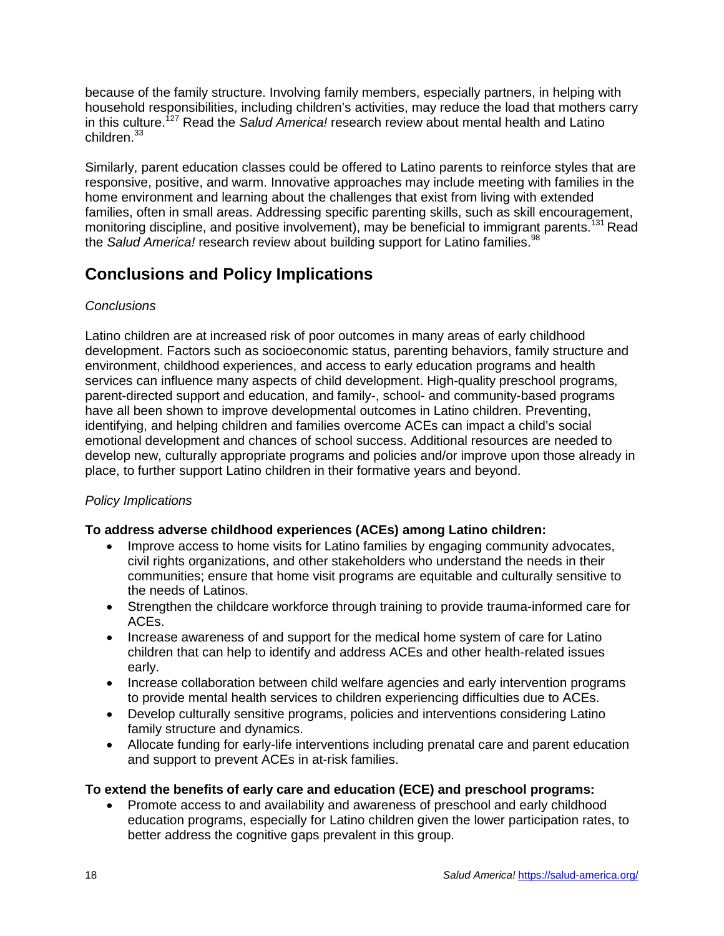because of the family structure. Involving family members, especially partners, in helping with household responsibilities, including children's activities, may reduce the load that mothers carry in this culture.<sup>127</sup> Read the *Salud America!* research review about mental health and Latino children.<sup>33</sup>

Similarly, parent education classes could be offered to Latino parents to reinforce styles that are responsive, positive, and warm. Innovative approaches may include meeting with families in the home environment and learning about the challenges that exist from living with extended families, often in small areas. Addressing specific parenting skills, such as skill encouragement, monitoring discipline, and positive involvement), may be beneficial to immigrant parents.<sup>131</sup> Read the *Salud America!* research review about building support for Latino families. 98

# **Conclusions and Policy Implications**

## *Conclusions*

Latino children are at increased risk of poor outcomes in many areas of early childhood development. Factors such as socioeconomic status, parenting behaviors, family structure and environment, childhood experiences, and access to early education programs and health services can influence many aspects of child development. High-quality preschool programs, parent-directed support and education, and family-, school- and community-based programs have all been shown to improve developmental outcomes in Latino children. Preventing, identifying, and helping children and families overcome ACEs can impact a child's social emotional development and chances of school success. Additional resources are needed to develop new, culturally appropriate programs and policies and/or improve upon those already in place, to further support Latino children in their formative years and beyond.

## *Policy Implications*

## **To address adverse childhood experiences (ACEs) among Latino children:**

- Improve access to home visits for Latino families by engaging community advocates, civil rights organizations, and other stakeholders who understand the needs in their communities; ensure that home visit programs are equitable and culturally sensitive to the needs of Latinos.
- Strengthen the childcare workforce through training to provide trauma-informed care for ACEs.
- Increase awareness of and support for the medical home system of care for Latino children that can help to identify and address ACEs and other health-related issues early.
- Increase collaboration between child welfare agencies and early intervention programs to provide mental health services to children experiencing difficulties due to ACEs.
- Develop culturally sensitive programs, policies and interventions considering Latino family structure and dynamics.
- Allocate funding for early-life interventions including prenatal care and parent education and support to prevent ACEs in at-risk families.

## **To extend the benefits of early care and education (ECE) and preschool programs:**

• Promote access to and availability and awareness of preschool and early childhood education programs, especially for Latino children given the lower participation rates, to better address the cognitive gaps prevalent in this group.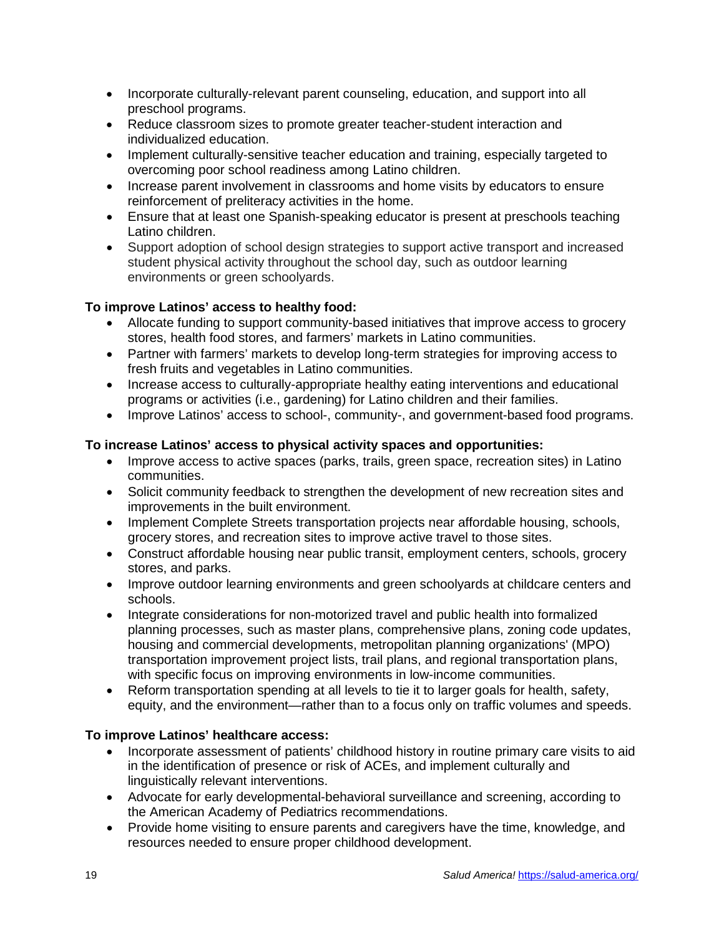- Incorporate culturally-relevant parent counseling, education, and support into all preschool programs.
- Reduce classroom sizes to promote greater teacher-student interaction and individualized education.
- Implement culturally-sensitive teacher education and training, especially targeted to overcoming poor school readiness among Latino children.
- Increase parent involvement in classrooms and home visits by educators to ensure reinforcement of preliteracy activities in the home.
- Ensure that at least one Spanish-speaking educator is present at preschools teaching Latino children.
- Support adoption of school design strategies to support active transport and increased student physical activity throughout the school day, such as outdoor learning environments or green schoolyards.

## **To improve Latinos' access to healthy food:**

- Allocate funding to support community-based initiatives that improve access to grocery stores, health food stores, and farmers' markets in Latino communities.
- Partner with farmers' markets to develop long-term strategies for improving access to fresh fruits and vegetables in Latino communities.
- Increase access to culturally-appropriate healthy eating interventions and educational programs or activities (i.e., gardening) for Latino children and their families.
- Improve Latinos' access to school-, community-, and government-based food programs.

## **To increase Latinos' access to physical activity spaces and opportunities:**

- Improve access to active spaces (parks, trails, green space, recreation sites) in Latino communities.
- Solicit community feedback to strengthen the development of new recreation sites and improvements in the built environment.
- Implement Complete Streets transportation projects near affordable housing, schools, grocery stores, and recreation sites to improve active travel to those sites.
- Construct affordable housing near public transit, employment centers, schools, grocery stores, and parks.
- Improve outdoor learning environments and green schoolyards at childcare centers and schools.
- Integrate considerations for non-motorized travel and public health into formalized planning processes, such as master plans, comprehensive plans, zoning code updates, housing and commercial developments, metropolitan planning organizations' (MPO) transportation improvement project lists, trail plans, and regional transportation plans, with specific focus on improving environments in low-income communities.
- Reform transportation spending at all levels to tie it to larger goals for health, safety, equity, and the environment—rather than to a focus only on traffic volumes and speeds.

## **To improve Latinos' healthcare access:**

- Incorporate assessment of patients' childhood history in routine primary care visits to aid in the identification of presence or risk of ACEs, and implement culturally and linguistically relevant interventions.
- Advocate for early developmental-behavioral surveillance and screening, according to the American Academy of Pediatrics recommendations.
- Provide home visiting to ensure parents and caregivers have the time, knowledge, and resources needed to ensure proper childhood development.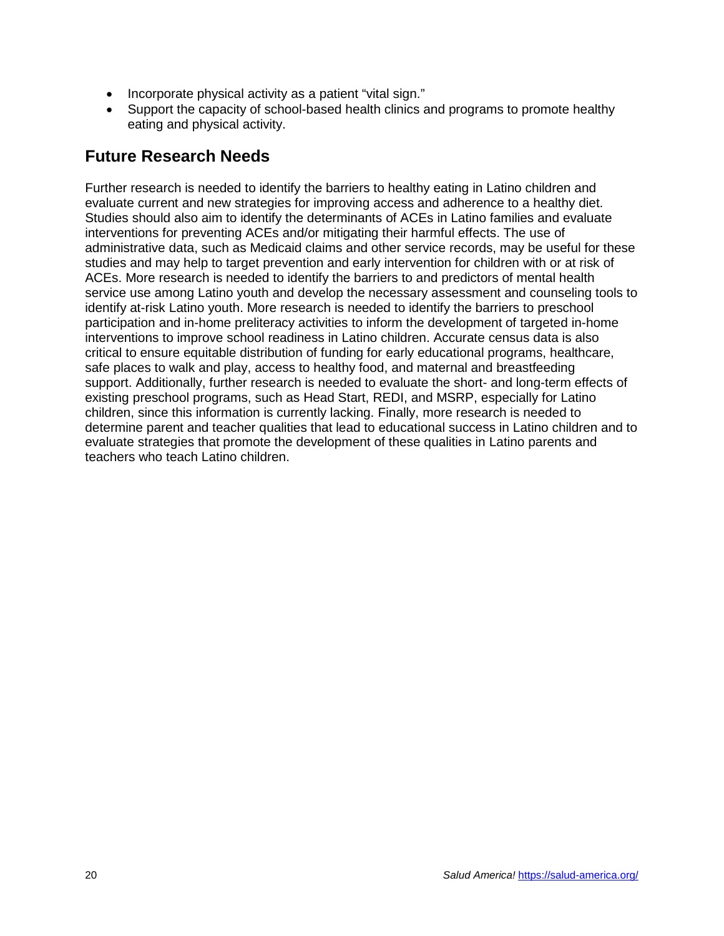- Incorporate physical activity as a patient "vital sign."
- Support the capacity of school-based health clinics and programs to promote healthy eating and physical activity.

# **Future Research Needs**

Further research is needed to identify the barriers to healthy eating in Latino children and evaluate current and new strategies for improving access and adherence to a healthy diet. Studies should also aim to identify the determinants of ACEs in Latino families and evaluate interventions for preventing ACEs and/or mitigating their harmful effects. The use of administrative data, such as Medicaid claims and other service records, may be useful for these studies and may help to target prevention and early intervention for children with or at risk of ACEs. More research is needed to identify the barriers to and predictors of mental health service use among Latino youth and develop the necessary assessment and counseling tools to identify at-risk Latino youth. More research is needed to identify the barriers to preschool participation and in-home preliteracy activities to inform the development of targeted in-home interventions to improve school readiness in Latino children. Accurate census data is also critical to ensure equitable distribution of funding for early educational programs, healthcare, safe places to walk and play, access to healthy food, and maternal and breastfeeding support. Additionally, further research is needed to evaluate the short- and long-term effects of existing preschool programs, such as Head Start, REDI, and MSRP, especially for Latino children, since this information is currently lacking. Finally, more research is needed to determine parent and teacher qualities that lead to educational success in Latino children and to evaluate strategies that promote the development of these qualities in Latino parents and teachers who teach Latino children.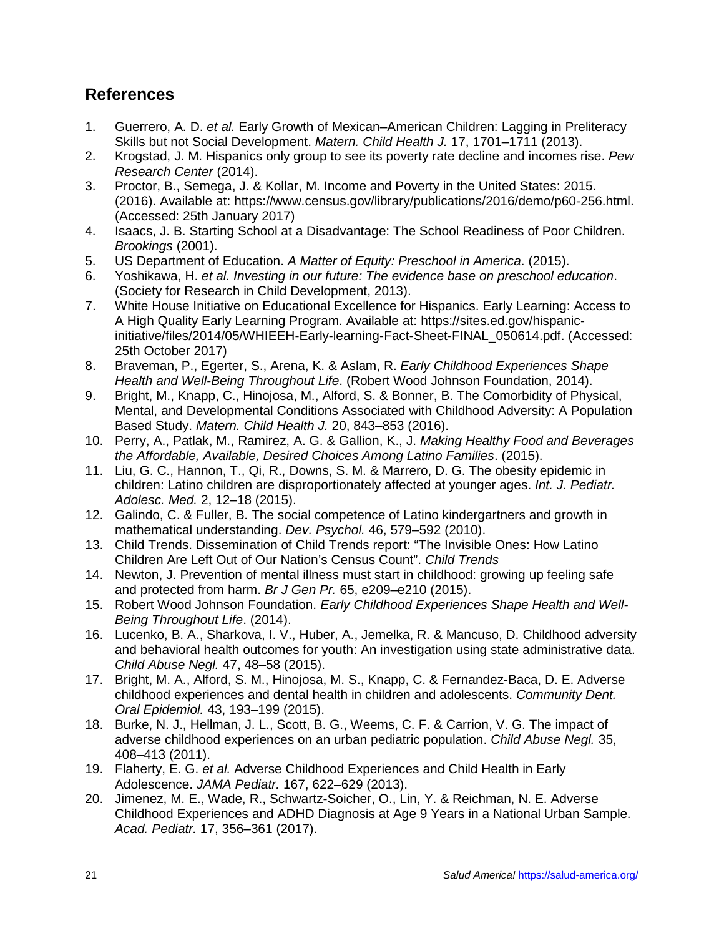# **References**

- 1. Guerrero, A. D. *et al.* Early Growth of Mexican–American Children: Lagging in Preliteracy Skills but not Social Development. *Matern. Child Health J.* 17, 1701–1711 (2013).
- 2. Krogstad, J. M. Hispanics only group to see its poverty rate decline and incomes rise. *Pew Research Center* (2014).
- 3. Proctor, B., Semega, J. & Kollar, M. Income and Poverty in the United States: 2015. (2016). Available at: https://www.census.gov/library/publications/2016/demo/p60-256.html. (Accessed: 25th January 2017)
- 4. Isaacs, J. B. Starting School at a Disadvantage: The School Readiness of Poor Children. *Brookings* (2001).
- 5. US Department of Education. *A Matter of Equity: Preschool in America*. (2015).
- 6. Yoshikawa, H. *et al. Investing in our future: The evidence base on preschool education*. (Society for Research in Child Development, 2013).
- 7. White House Initiative on Educational Excellence for Hispanics. Early Learning: Access to A High Quality Early Learning Program. Available at: https://sites.ed.gov/hispanicinitiative/files/2014/05/WHIEEH-Early-learning-Fact-Sheet-FINAL\_050614.pdf. (Accessed: 25th October 2017)
- 8. Braveman, P., Egerter, S., Arena, K. & Aslam, R. *Early Childhood Experiences Shape Health and Well-Being Throughout Life*. (Robert Wood Johnson Foundation, 2014).
- 9. Bright, M., Knapp, C., Hinojosa, M., Alford, S. & Bonner, B. The Comorbidity of Physical, Mental, and Developmental Conditions Associated with Childhood Adversity: A Population Based Study. *Matern. Child Health J.* 20, 843–853 (2016).
- 10. Perry, A., Patlak, M., Ramirez, A. G. & Gallion, K., J. *Making Healthy Food and Beverages the Affordable, Available, Desired Choices Among Latino Families*. (2015).
- 11. Liu, G. C., Hannon, T., Qi, R., Downs, S. M. & Marrero, D. G. The obesity epidemic in children: Latino children are disproportionately affected at younger ages. *Int. J. Pediatr. Adolesc. Med.* 2, 12–18 (2015).
- 12. Galindo, C. & Fuller, B. The social competence of Latino kindergartners and growth in mathematical understanding. *Dev. Psychol.* 46, 579–592 (2010).
- 13. Child Trends. Dissemination of Child Trends report: "The Invisible Ones: How Latino Children Are Left Out of Our Nation's Census Count". *Child Trends*
- 14. Newton, J. Prevention of mental illness must start in childhood: growing up feeling safe and protected from harm. *Br J Gen Pr.* 65, e209–e210 (2015).
- 15. Robert Wood Johnson Foundation. *Early Childhood Experiences Shape Health and Well-Being Throughout Life*. (2014).
- 16. Lucenko, B. A., Sharkova, I. V., Huber, A., Jemelka, R. & Mancuso, D. Childhood adversity and behavioral health outcomes for youth: An investigation using state administrative data. *Child Abuse Negl.* 47, 48–58 (2015).
- 17. Bright, M. A., Alford, S. M., Hinojosa, M. S., Knapp, C. & Fernandez-Baca, D. E. Adverse childhood experiences and dental health in children and adolescents. *Community Dent. Oral Epidemiol.* 43, 193–199 (2015).
- 18. Burke, N. J., Hellman, J. L., Scott, B. G., Weems, C. F. & Carrion, V. G. The impact of adverse childhood experiences on an urban pediatric population. *Child Abuse Negl.* 35, 408–413 (2011).
- 19. Flaherty, E. G. *et al.* Adverse Childhood Experiences and Child Health in Early Adolescence. *JAMA Pediatr.* 167, 622–629 (2013).
- 20. Jimenez, M. E., Wade, R., Schwartz-Soicher, O., Lin, Y. & Reichman, N. E. Adverse Childhood Experiences and ADHD Diagnosis at Age 9 Years in a National Urban Sample. *Acad. Pediatr.* 17, 356–361 (2017).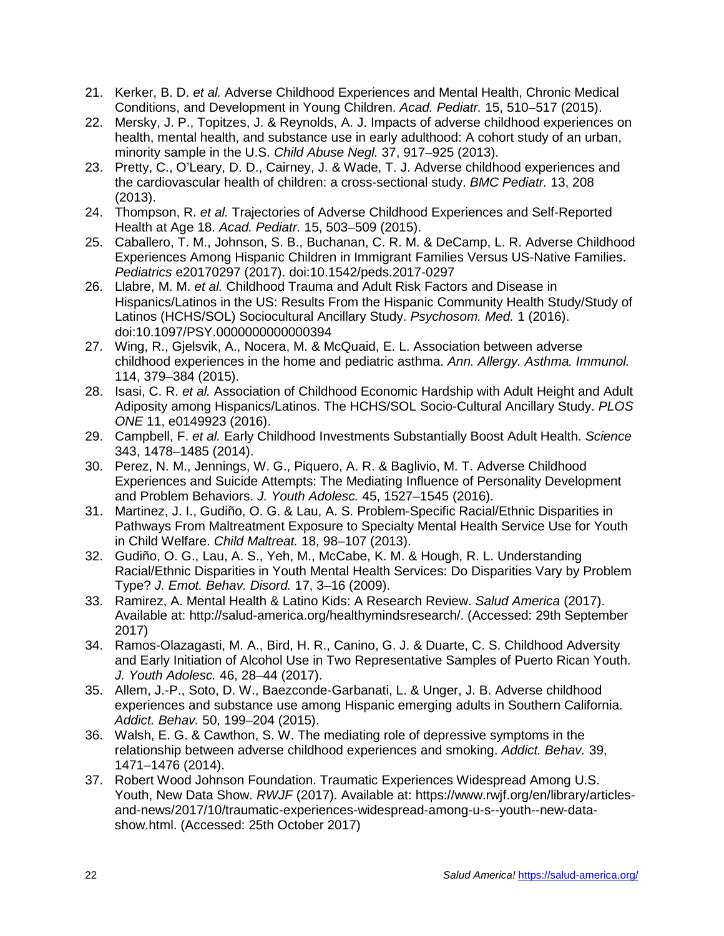- 21. Kerker, B. D. *et al.* Adverse Childhood Experiences and Mental Health, Chronic Medical Conditions, and Development in Young Children. *Acad. Pediatr.* 15, 510–517 (2015).
- 22. Mersky, J. P., Topitzes, J. & Reynolds, A. J. Impacts of adverse childhood experiences on health, mental health, and substance use in early adulthood: A cohort study of an urban, minority sample in the U.S. *Child Abuse Negl.* 37, 917–925 (2013).
- 23. Pretty, C., O'Leary, D. D., Cairney, J. & Wade, T. J. Adverse childhood experiences and the cardiovascular health of children: a cross-sectional study. *BMC Pediatr.* 13, 208 (2013).
- 24. Thompson, R. *et al.* Trajectories of Adverse Childhood Experiences and Self-Reported Health at Age 18. *Acad. Pediatr.* 15, 503–509 (2015).
- 25. Caballero, T. M., Johnson, S. B., Buchanan, C. R. M. & DeCamp, L. R. Adverse Childhood Experiences Among Hispanic Children in Immigrant Families Versus US-Native Families. *Pediatrics* e20170297 (2017). doi:10.1542/peds.2017-0297
- 26. Llabre, M. M. *et al.* Childhood Trauma and Adult Risk Factors and Disease in Hispanics/Latinos in the US: Results From the Hispanic Community Health Study/Study of Latinos (HCHS/SOL) Sociocultural Ancillary Study. *Psychosom. Med.* 1 (2016). doi:10.1097/PSY.0000000000000394
- 27. Wing, R., Gjelsvik, A., Nocera, M. & McQuaid, E. L. Association between adverse childhood experiences in the home and pediatric asthma. *Ann. Allergy. Asthma. Immunol.* 114, 379–384 (2015).
- 28. Isasi, C. R. *et al.* Association of Childhood Economic Hardship with Adult Height and Adult Adiposity among Hispanics/Latinos. The HCHS/SOL Socio-Cultural Ancillary Study. *PLOS ONE* 11, e0149923 (2016).
- 29. Campbell, F. *et al.* Early Childhood Investments Substantially Boost Adult Health. *Science* 343, 1478–1485 (2014).
- 30. Perez, N. M., Jennings, W. G., Piquero, A. R. & Baglivio, M. T. Adverse Childhood Experiences and Suicide Attempts: The Mediating Influence of Personality Development and Problem Behaviors. *J. Youth Adolesc.* 45, 1527–1545 (2016).
- 31. Martinez, J. I., Gudiño, O. G. & Lau, A. S. Problem-Specific Racial/Ethnic Disparities in Pathways From Maltreatment Exposure to Specialty Mental Health Service Use for Youth in Child Welfare. *Child Maltreat.* 18, 98–107 (2013).
- 32. Gudiño, O. G., Lau, A. S., Yeh, M., McCabe, K. M. & Hough, R. L. Understanding Racial/Ethnic Disparities in Youth Mental Health Services: Do Disparities Vary by Problem Type? *J. Emot. Behav. Disord.* 17, 3–16 (2009).
- 33. Ramirez, A. Mental Health & Latino Kids: A Research Review. *Salud America* (2017). Available at: http://salud-america.org/healthymindsresearch/. (Accessed: 29th September 2017)
- 34. Ramos-Olazagasti, M. A., Bird, H. R., Canino, G. J. & Duarte, C. S. Childhood Adversity and Early Initiation of Alcohol Use in Two Representative Samples of Puerto Rican Youth. *J. Youth Adolesc.* 46, 28–44 (2017).
- 35. Allem, J.-P., Soto, D. W., Baezconde-Garbanati, L. & Unger, J. B. Adverse childhood experiences and substance use among Hispanic emerging adults in Southern California. *Addict. Behav.* 50, 199–204 (2015).
- 36. Walsh, E. G. & Cawthon, S. W. The mediating role of depressive symptoms in the relationship between adverse childhood experiences and smoking. *Addict. Behav.* 39, 1471–1476 (2014).
- 37. Robert Wood Johnson Foundation. Traumatic Experiences Widespread Among U.S. Youth, New Data Show. *RWJF* (2017). Available at: https://www.rwjf.org/en/library/articlesand-news/2017/10/traumatic-experiences-widespread-among-u-s--youth--new-datashow.html. (Accessed: 25th October 2017)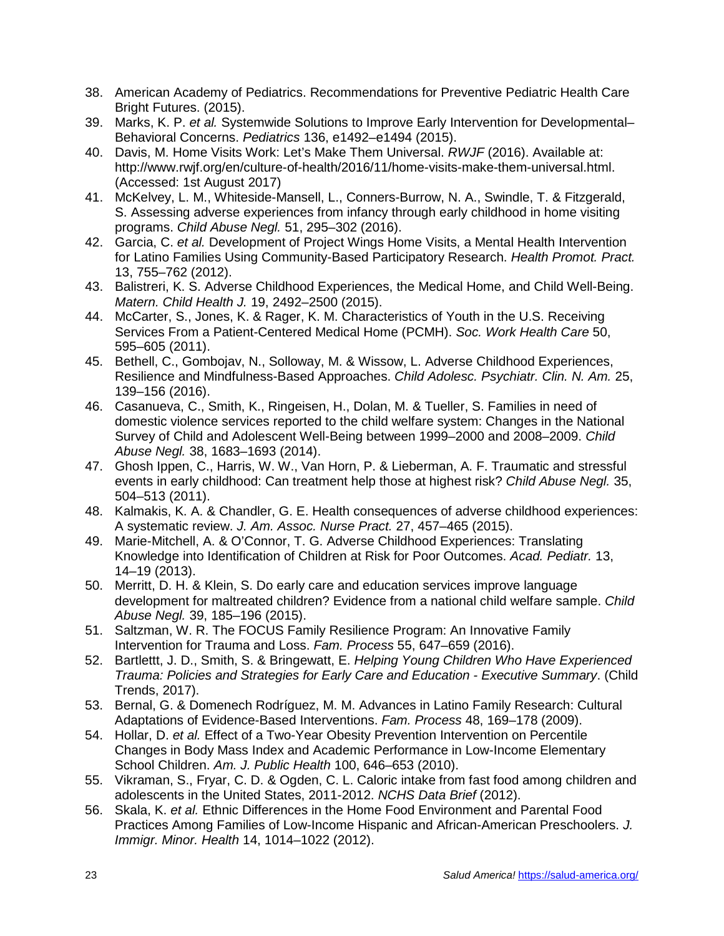- 38. American Academy of Pediatrics. Recommendations for Preventive Pediatric Health Care Bright Futures. (2015).
- 39. Marks, K. P. *et al.* Systemwide Solutions to Improve Early Intervention for Developmental– Behavioral Concerns. *Pediatrics* 136, e1492–e1494 (2015).
- 40. Davis, M. Home Visits Work: Let's Make Them Universal. *RWJF* (2016). Available at: http://www.rwjf.org/en/culture-of-health/2016/11/home-visits-make-them-universal.html. (Accessed: 1st August 2017)
- 41. McKelvey, L. M., Whiteside-Mansell, L., Conners-Burrow, N. A., Swindle, T. & Fitzgerald, S. Assessing adverse experiences from infancy through early childhood in home visiting programs. *Child Abuse Negl.* 51, 295–302 (2016).
- 42. Garcia, C. *et al.* Development of Project Wings Home Visits, a Mental Health Intervention for Latino Families Using Community-Based Participatory Research. *Health Promot. Pract.* 13, 755–762 (2012).
- 43. Balistreri, K. S. Adverse Childhood Experiences, the Medical Home, and Child Well-Being. *Matern. Child Health J.* 19, 2492–2500 (2015).
- 44. McCarter, S., Jones, K. & Rager, K. M. Characteristics of Youth in the U.S. Receiving Services From a Patient-Centered Medical Home (PCMH). *Soc. Work Health Care* 50, 595–605 (2011).
- 45. Bethell, C., Gombojav, N., Solloway, M. & Wissow, L. Adverse Childhood Experiences, Resilience and Mindfulness-Based Approaches. *Child Adolesc. Psychiatr. Clin. N. Am.* 25, 139–156 (2016).
- 46. Casanueva, C., Smith, K., Ringeisen, H., Dolan, M. & Tueller, S. Families in need of domestic violence services reported to the child welfare system: Changes in the National Survey of Child and Adolescent Well-Being between 1999–2000 and 2008–2009. *Child Abuse Negl.* 38, 1683–1693 (2014).
- 47. Ghosh Ippen, C., Harris, W. W., Van Horn, P. & Lieberman, A. F. Traumatic and stressful events in early childhood: Can treatment help those at highest risk? *Child Abuse Negl.* 35, 504–513 (2011).
- 48. Kalmakis, K. A. & Chandler, G. E. Health consequences of adverse childhood experiences: A systematic review. *J. Am. Assoc. Nurse Pract.* 27, 457–465 (2015).
- 49. Marie-Mitchell, A. & O'Connor, T. G. Adverse Childhood Experiences: Translating Knowledge into Identification of Children at Risk for Poor Outcomes. *Acad. Pediatr.* 13, 14–19 (2013).
- 50. Merritt, D. H. & Klein, S. Do early care and education services improve language development for maltreated children? Evidence from a national child welfare sample. *Child Abuse Negl.* 39, 185–196 (2015).
- 51. Saltzman, W. R. The FOCUS Family Resilience Program: An Innovative Family Intervention for Trauma and Loss. *Fam. Process* 55, 647–659 (2016).
- 52. Bartlettt, J. D., Smith, S. & Bringewatt, E. *Helping Young Children Who Have Experienced Trauma: Policies and Strategies for Early Care and Education - Executive Summary*. (Child Trends, 2017).
- 53. Bernal, G. & Domenech Rodríguez, M. M. Advances in Latino Family Research: Cultural Adaptations of Evidence-Based Interventions. *Fam. Process* 48, 169–178 (2009).
- 54. Hollar, D. *et al.* Effect of a Two-Year Obesity Prevention Intervention on Percentile Changes in Body Mass Index and Academic Performance in Low-Income Elementary School Children. *Am. J. Public Health* 100, 646–653 (2010).
- 55. Vikraman, S., Fryar, C. D. & Ogden, C. L. Caloric intake from fast food among children and adolescents in the United States, 2011-2012. *NCHS Data Brief* (2012).
- 56. Skala, K. *et al.* Ethnic Differences in the Home Food Environment and Parental Food Practices Among Families of Low-Income Hispanic and African-American Preschoolers. *J. Immigr. Minor. Health* 14, 1014–1022 (2012).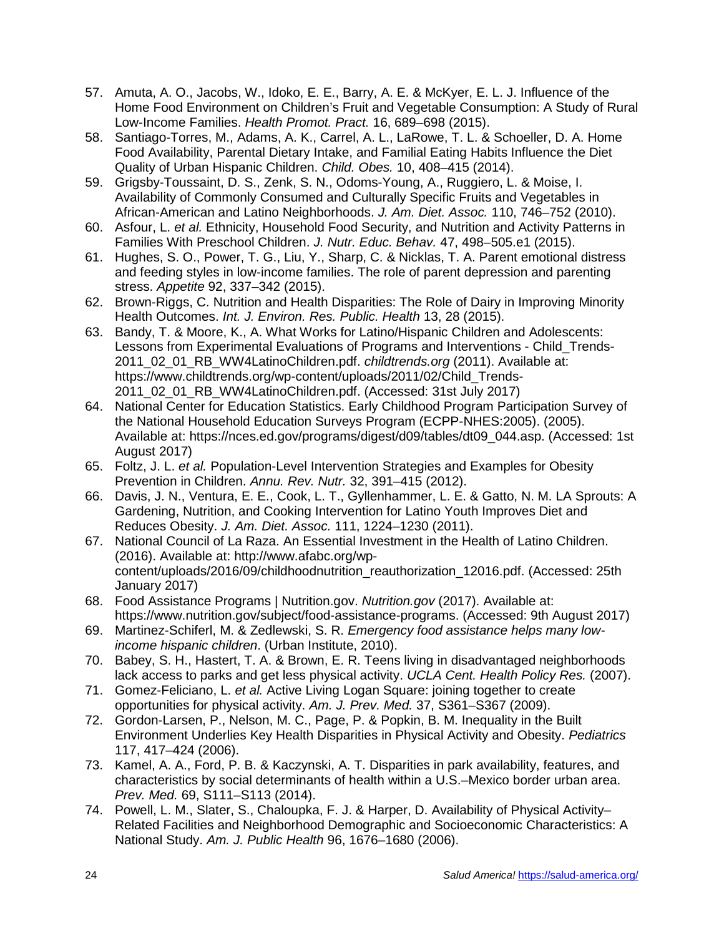- 57. Amuta, A. O., Jacobs, W., Idoko, E. E., Barry, A. E. & McKyer, E. L. J. Influence of the Home Food Environment on Children's Fruit and Vegetable Consumption: A Study of Rural Low-Income Families. *Health Promot. Pract.* 16, 689–698 (2015).
- 58. Santiago-Torres, M., Adams, A. K., Carrel, A. L., LaRowe, T. L. & Schoeller, D. A. Home Food Availability, Parental Dietary Intake, and Familial Eating Habits Influence the Diet Quality of Urban Hispanic Children. *Child. Obes.* 10, 408–415 (2014).
- 59. Grigsby-Toussaint, D. S., Zenk, S. N., Odoms-Young, A., Ruggiero, L. & Moise, I. Availability of Commonly Consumed and Culturally Specific Fruits and Vegetables in African-American and Latino Neighborhoods. *J. Am. Diet. Assoc.* 110, 746–752 (2010).
- 60. Asfour, L. *et al.* Ethnicity, Household Food Security, and Nutrition and Activity Patterns in Families With Preschool Children. *J. Nutr. Educ. Behav.* 47, 498–505.e1 (2015).
- 61. Hughes, S. O., Power, T. G., Liu, Y., Sharp, C. & Nicklas, T. A. Parent emotional distress and feeding styles in low-income families. The role of parent depression and parenting stress. *Appetite* 92, 337–342 (2015).
- 62. Brown-Riggs, C. Nutrition and Health Disparities: The Role of Dairy in Improving Minority Health Outcomes. *Int. J. Environ. Res. Public. Health* 13, 28 (2015).
- 63. Bandy, T. & Moore, K., A. What Works for Latino/Hispanic Children and Adolescents: Lessons from Experimental Evaluations of Programs and Interventions - Child\_Trends-2011\_02\_01\_RB\_WW4LatinoChildren.pdf. *childtrends.org* (2011). Available at: https://www.childtrends.org/wp-content/uploads/2011/02/Child\_Trends-2011\_02\_01\_RB\_WW4LatinoChildren.pdf. (Accessed: 31st July 2017)
- 64. National Center for Education Statistics. Early Childhood Program Participation Survey of the National Household Education Surveys Program (ECPP-NHES:2005). (2005). Available at: https://nces.ed.gov/programs/digest/d09/tables/dt09\_044.asp. (Accessed: 1st August 2017)
- 65. Foltz, J. L. *et al.* Population-Level Intervention Strategies and Examples for Obesity Prevention in Children. *Annu. Rev. Nutr.* 32, 391–415 (2012).
- 66. Davis, J. N., Ventura, E. E., Cook, L. T., Gyllenhammer, L. E. & Gatto, N. M. LA Sprouts: A Gardening, Nutrition, and Cooking Intervention for Latino Youth Improves Diet and Reduces Obesity. *J. Am. Diet. Assoc.* 111, 1224–1230 (2011).
- 67. National Council of La Raza. An Essential Investment in the Health of Latino Children. (2016). Available at: http://www.afabc.org/wpcontent/uploads/2016/09/childhoodnutrition\_reauthorization\_12016.pdf. (Accessed: 25th January 2017)
- 68. Food Assistance Programs | Nutrition.gov. *Nutrition.gov* (2017). Available at: https://www.nutrition.gov/subject/food-assistance-programs. (Accessed: 9th August 2017)
- 69. Martinez-Schiferl, M. & Zedlewski, S. R. *Emergency food assistance helps many lowincome hispanic children*. (Urban Institute, 2010).
- 70. Babey, S. H., Hastert, T. A. & Brown, E. R. Teens living in disadvantaged neighborhoods lack access to parks and get less physical activity. *UCLA Cent. Health Policy Res.* (2007).
- 71. Gomez-Feliciano, L. *et al.* Active Living Logan Square: joining together to create opportunities for physical activity. *Am. J. Prev. Med.* 37, S361–S367 (2009).
- 72. Gordon-Larsen, P., Nelson, M. C., Page, P. & Popkin, B. M. Inequality in the Built Environment Underlies Key Health Disparities in Physical Activity and Obesity. *Pediatrics* 117, 417–424 (2006).
- 73. Kamel, A. A., Ford, P. B. & Kaczynski, A. T. Disparities in park availability, features, and characteristics by social determinants of health within a U.S.–Mexico border urban area. *Prev. Med.* 69, S111–S113 (2014).
- 74. Powell, L. M., Slater, S., Chaloupka, F. J. & Harper, D. Availability of Physical Activity– Related Facilities and Neighborhood Demographic and Socioeconomic Characteristics: A National Study. *Am. J. Public Health* 96, 1676–1680 (2006).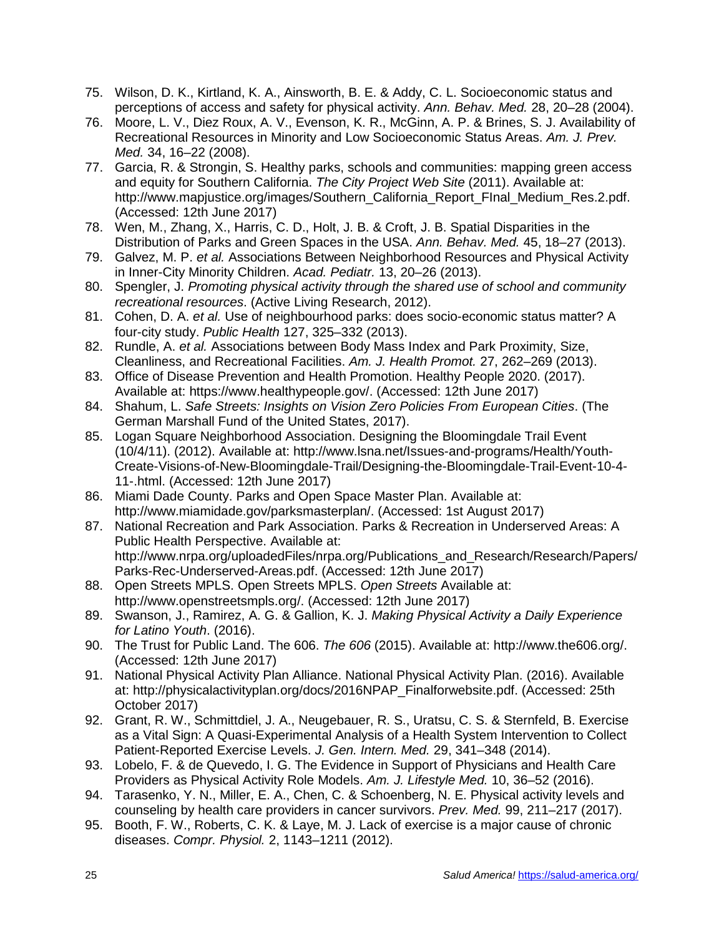- 75. Wilson, D. K., Kirtland, K. A., Ainsworth, B. E. & Addy, C. L. Socioeconomic status and perceptions of access and safety for physical activity. *Ann. Behav. Med.* 28, 20–28 (2004).
- 76. Moore, L. V., Diez Roux, A. V., Evenson, K. R., McGinn, A. P. & Brines, S. J. Availability of Recreational Resources in Minority and Low Socioeconomic Status Areas. *Am. J. Prev. Med.* 34, 16–22 (2008).
- 77. Garcia, R. & Strongin, S. Healthy parks, schools and communities: mapping green access and equity for Southern California. *The City Project Web Site* (2011). Available at: http://www.mapjustice.org/images/Southern\_California\_Report\_FInal\_Medium\_Res.2.pdf. (Accessed: 12th June 2017)
- 78. Wen, M., Zhang, X., Harris, C. D., Holt, J. B. & Croft, J. B. Spatial Disparities in the Distribution of Parks and Green Spaces in the USA. *Ann. Behav. Med.* 45, 18–27 (2013).
- 79. Galvez, M. P. *et al.* Associations Between Neighborhood Resources and Physical Activity in Inner-City Minority Children. *Acad. Pediatr.* 13, 20–26 (2013).
- 80. Spengler, J. *Promoting physical activity through the shared use of school and community recreational resources*. (Active Living Research, 2012).
- 81. Cohen, D. A. *et al.* Use of neighbourhood parks: does socio-economic status matter? A four-city study. *Public Health* 127, 325–332 (2013).
- 82. Rundle, A. *et al.* Associations between Body Mass Index and Park Proximity, Size, Cleanliness, and Recreational Facilities. *Am. J. Health Promot.* 27, 262–269 (2013).
- 83. Office of Disease Prevention and Health Promotion. Healthy People 2020. (2017). Available at: https://www.healthypeople.gov/. (Accessed: 12th June 2017)
- 84. Shahum, L. *Safe Streets: Insights on Vision Zero Policies From European Cities*. (The German Marshall Fund of the United States, 2017).
- 85. Logan Square Neighborhood Association. Designing the Bloomingdale Trail Event (10/4/11). (2012). Available at: http://www.lsna.net/Issues-and-programs/Health/Youth-Create-Visions-of-New-Bloomingdale-Trail/Designing-the-Bloomingdale-Trail-Event-10-4- 11-.html. (Accessed: 12th June 2017)
- 86. Miami Dade County. Parks and Open Space Master Plan. Available at: http://www.miamidade.gov/parksmasterplan/. (Accessed: 1st August 2017)
- 87. National Recreation and Park Association. Parks & Recreation in Underserved Areas: A Public Health Perspective. Available at: http://www.nrpa.org/uploadedFiles/nrpa.org/Publications\_and\_Research/Research/Papers/ Parks-Rec-Underserved-Areas.pdf. (Accessed: 12th June 2017)
- 88. Open Streets MPLS. Open Streets MPLS. *Open Streets* Available at: http://www.openstreetsmpls.org/. (Accessed: 12th June 2017)
- 89. Swanson, J., Ramirez, A. G. & Gallion, K. J. *Making Physical Activity a Daily Experience for Latino Youth*. (2016).
- 90. The Trust for Public Land. The 606. *The 606* (2015). Available at: http://www.the606.org/. (Accessed: 12th June 2017)
- 91. National Physical Activity Plan Alliance. National Physical Activity Plan. (2016). Available at: http://physicalactivityplan.org/docs/2016NPAP\_Finalforwebsite.pdf. (Accessed: 25th October 2017)
- 92. Grant, R. W., Schmittdiel, J. A., Neugebauer, R. S., Uratsu, C. S. & Sternfeld, B. Exercise as a Vital Sign: A Quasi-Experimental Analysis of a Health System Intervention to Collect Patient-Reported Exercise Levels. *J. Gen. Intern. Med.* 29, 341–348 (2014).
- 93. Lobelo, F. & de Quevedo, I. G. The Evidence in Support of Physicians and Health Care Providers as Physical Activity Role Models. *Am. J. Lifestyle Med.* 10, 36–52 (2016).
- 94. Tarasenko, Y. N., Miller, E. A., Chen, C. & Schoenberg, N. E. Physical activity levels and counseling by health care providers in cancer survivors. *Prev. Med.* 99, 211–217 (2017).
- 95. Booth, F. W., Roberts, C. K. & Laye, M. J. Lack of exercise is a major cause of chronic diseases. *Compr. Physiol.* 2, 1143–1211 (2012).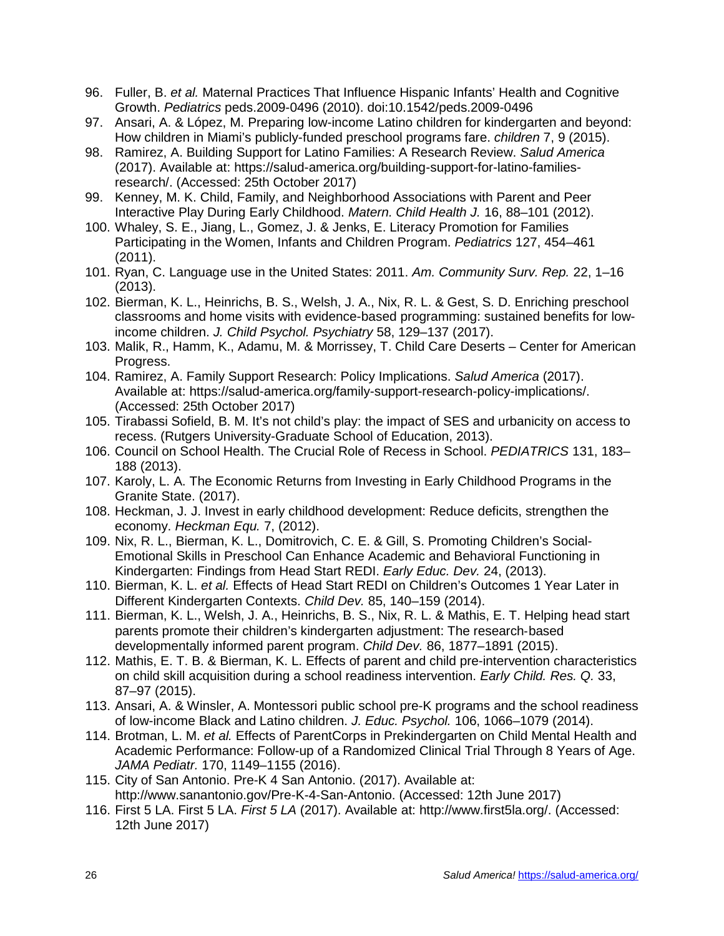- 96. Fuller, B. *et al.* Maternal Practices That Influence Hispanic Infants' Health and Cognitive Growth. *Pediatrics* peds.2009-0496 (2010). doi:10.1542/peds.2009-0496
- 97. Ansari, A. & López, M. Preparing low-income Latino children for kindergarten and beyond: How children in Miami's publicly-funded preschool programs fare. *children* 7, 9 (2015).
- 98. Ramirez, A. Building Support for Latino Families: A Research Review. *Salud America* (2017). Available at: https://salud-america.org/building-support-for-latino-familiesresearch/. (Accessed: 25th October 2017)
- 99. Kenney, M. K. Child, Family, and Neighborhood Associations with Parent and Peer Interactive Play During Early Childhood. *Matern. Child Health J.* 16, 88–101 (2012).
- 100. Whaley, S. E., Jiang, L., Gomez, J. & Jenks, E. Literacy Promotion for Families Participating in the Women, Infants and Children Program. *Pediatrics* 127, 454–461 (2011).
- 101. Ryan, C. Language use in the United States: 2011. *Am. Community Surv. Rep.* 22, 1–16 (2013).
- 102. Bierman, K. L., Heinrichs, B. S., Welsh, J. A., Nix, R. L. & Gest, S. D. Enriching preschool classrooms and home visits with evidence-based programming: sustained benefits for lowincome children. *J. Child Psychol. Psychiatry* 58, 129–137 (2017).
- 103. Malik, R., Hamm, K., Adamu, M. & Morrissey, T. Child Care Deserts Center for American Progress.
- 104. Ramirez, A. Family Support Research: Policy Implications. *Salud America* (2017). Available at: https://salud-america.org/family-support-research-policy-implications/. (Accessed: 25th October 2017)
- 105. Tirabassi Sofield, B. M. It's not child's play: the impact of SES and urbanicity on access to recess. (Rutgers University-Graduate School of Education, 2013).
- 106. Council on School Health. The Crucial Role of Recess in School. *PEDIATRICS* 131, 183– 188 (2013).
- 107. Karoly, L. A. The Economic Returns from Investing in Early Childhood Programs in the Granite State. (2017).
- 108. Heckman, J. J. Invest in early childhood development: Reduce deficits, strengthen the economy. *Heckman Equ.* 7, (2012).
- 109. Nix, R. L., Bierman, K. L., Domitrovich, C. E. & Gill, S. Promoting Children's Social-Emotional Skills in Preschool Can Enhance Academic and Behavioral Functioning in Kindergarten: Findings from Head Start REDI. *Early Educ. Dev.* 24, (2013).
- 110. Bierman, K. L. *et al.* Effects of Head Start REDI on Children's Outcomes 1 Year Later in Different Kindergarten Contexts. *Child Dev.* 85, 140–159 (2014).
- 111. Bierman, K. L., Welsh, J. A., Heinrichs, B. S., Nix, R. L. & Mathis, E. T. Helping head start parents promote their children's kindergarten adjustment: The research‐based developmentally informed parent program. *Child Dev.* 86, 1877–1891 (2015).
- 112. Mathis, E. T. B. & Bierman, K. L. Effects of parent and child pre-intervention characteristics on child skill acquisition during a school readiness intervention. *Early Child. Res. Q.* 33, 87–97 (2015).
- 113. Ansari, A. & Winsler, A. Montessori public school pre-K programs and the school readiness of low-income Black and Latino children. *J. Educ. Psychol.* 106, 1066–1079 (2014).
- 114. Brotman, L. M. *et al.* Effects of ParentCorps in Prekindergarten on Child Mental Health and Academic Performance: Follow-up of a Randomized Clinical Trial Through 8 Years of Age. *JAMA Pediatr.* 170, 1149–1155 (2016).
- 115. City of San Antonio. Pre-K 4 San Antonio. (2017). Available at: http://www.sanantonio.gov/Pre-K-4-San-Antonio. (Accessed: 12th June 2017)
- 116. First 5 LA. First 5 LA. *First 5 LA* (2017). Available at: http://www.first5la.org/. (Accessed: 12th June 2017)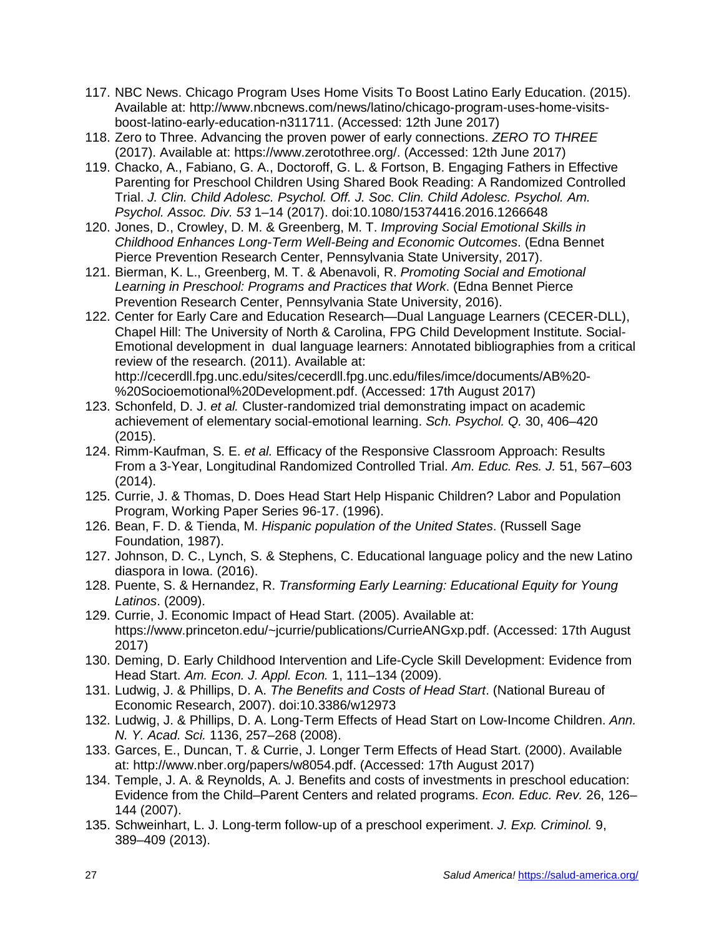- 117. NBC News. Chicago Program Uses Home Visits To Boost Latino Early Education. (2015). Available at: http://www.nbcnews.com/news/latino/chicago-program-uses-home-visitsboost-latino-early-education-n311711. (Accessed: 12th June 2017)
- 118. Zero to Three. Advancing the proven power of early connections. *ZERO TO THREE* (2017). Available at: https://www.zerotothree.org/. (Accessed: 12th June 2017)
- 119. Chacko, A., Fabiano, G. A., Doctoroff, G. L. & Fortson, B. Engaging Fathers in Effective Parenting for Preschool Children Using Shared Book Reading: A Randomized Controlled Trial. *J. Clin. Child Adolesc. Psychol. Off. J. Soc. Clin. Child Adolesc. Psychol. Am. Psychol. Assoc. Div. 53* 1–14 (2017). doi:10.1080/15374416.2016.1266648
- 120. Jones, D., Crowley, D. M. & Greenberg, M. T. *Improving Social Emotional Skills in Childhood Enhances Long-Term Well-Being and Economic Outcomes*. (Edna Bennet Pierce Prevention Research Center, Pennsylvania State University, 2017).
- 121. Bierman, K. L., Greenberg, M. T. & Abenavoli, R. *Promoting Social and Emotional Learning in Preschool: Programs and Practices that Work*. (Edna Bennet Pierce Prevention Research Center, Pennsylvania State University, 2016).
- 122. Center for Early Care and Education Research—Dual Language Learners (CECER-DLL), Chapel Hill: The University of North & Carolina, FPG Child Development Institute. Social-Emotional development in dual language learners: Annotated bibliographies from a critical review of the research. (2011). Available at: http://cecerdll.fpg.unc.edu/sites/cecerdll.fpg.unc.edu/files/imce/documents/AB%20- %20Socioemotional%20Development.pdf. (Accessed: 17th August 2017)
- 123. Schonfeld, D. J. *et al.* Cluster-randomized trial demonstrating impact on academic achievement of elementary social-emotional learning. *Sch. Psychol. Q.* 30, 406–420 (2015).
- 124. Rimm-Kaufman, S. E. *et al.* Efficacy of the Responsive Classroom Approach: Results From a 3-Year, Longitudinal Randomized Controlled Trial. *Am. Educ. Res. J.* 51, 567–603 (2014).
- 125. Currie, J. & Thomas, D. Does Head Start Help Hispanic Children? Labor and Population Program, Working Paper Series 96-17. (1996).
- 126. Bean, F. D. & Tienda, M. *Hispanic population of the United States*. (Russell Sage Foundation, 1987).
- 127. Johnson, D. C., Lynch, S. & Stephens, C. Educational language policy and the new Latino diaspora in Iowa. (2016).
- 128. Puente, S. & Hernandez, R. *Transforming Early Learning: Educational Equity for Young Latinos*. (2009).
- 129. Currie, J. Economic Impact of Head Start. (2005). Available at: https://www.princeton.edu/~jcurrie/publications/CurrieANGxp.pdf. (Accessed: 17th August 2017)
- 130. Deming, D. Early Childhood Intervention and Life-Cycle Skill Development: Evidence from Head Start. *Am. Econ. J. Appl. Econ.* 1, 111–134 (2009).
- 131. Ludwig, J. & Phillips, D. A. *The Benefits and Costs of Head Start*. (National Bureau of Economic Research, 2007). doi:10.3386/w12973
- 132. Ludwig, J. & Phillips, D. A. Long-Term Effects of Head Start on Low-Income Children. *Ann. N. Y. Acad. Sci.* 1136, 257–268 (2008).
- 133. Garces, E., Duncan, T. & Currie, J. Longer Term Effects of Head Start. (2000). Available at: http://www.nber.org/papers/w8054.pdf. (Accessed: 17th August 2017)
- 134. Temple, J. A. & Reynolds, A. J. Benefits and costs of investments in preschool education: Evidence from the Child–Parent Centers and related programs. *Econ. Educ. Rev.* 26, 126– 144 (2007).
- 135. Schweinhart, L. J. Long-term follow-up of a preschool experiment. *J. Exp. Criminol.* 9, 389–409 (2013).